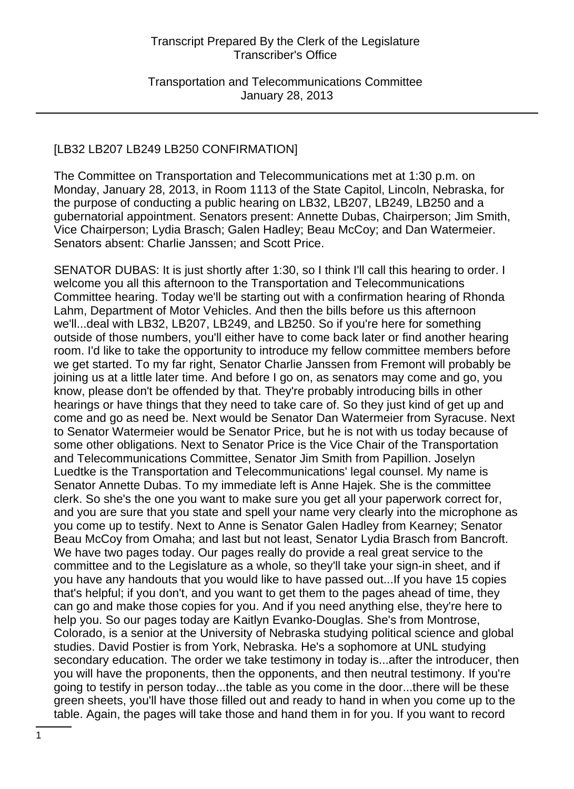Transportation and Telecommunications Committee January 28, 2013

#### [LB32 LB207 LB249 LB250 CONFIRMATION]

The Committee on Transportation and Telecommunications met at 1:30 p.m. on Monday, January 28, 2013, in Room 1113 of the State Capitol, Lincoln, Nebraska, for the purpose of conducting a public hearing on LB32, LB207, LB249, LB250 and a gubernatorial appointment. Senators present: Annette Dubas, Chairperson; Jim Smith, Vice Chairperson; Lydia Brasch; Galen Hadley; Beau McCoy; and Dan Watermeier. Senators absent: Charlie Janssen; and Scott Price.

SENATOR DUBAS: It is just shortly after 1:30, so I think I'll call this hearing to order. I welcome you all this afternoon to the Transportation and Telecommunications Committee hearing. Today we'll be starting out with a confirmation hearing of Rhonda Lahm, Department of Motor Vehicles. And then the bills before us this afternoon we'll...deal with LB32, LB207, LB249, and LB250. So if you're here for something outside of those numbers, you'll either have to come back later or find another hearing room. I'd like to take the opportunity to introduce my fellow committee members before we get started. To my far right, Senator Charlie Janssen from Fremont will probably be joining us at a little later time. And before I go on, as senators may come and go, you know, please don't be offended by that. They're probably introducing bills in other hearings or have things that they need to take care of. So they just kind of get up and come and go as need be. Next would be Senator Dan Watermeier from Syracuse. Next to Senator Watermeier would be Senator Price, but he is not with us today because of some other obligations. Next to Senator Price is the Vice Chair of the Transportation and Telecommunications Committee, Senator Jim Smith from Papillion. Joselyn Luedtke is the Transportation and Telecommunications' legal counsel. My name is Senator Annette Dubas. To my immediate left is Anne Hajek. She is the committee clerk. So she's the one you want to make sure you get all your paperwork correct for, and you are sure that you state and spell your name very clearly into the microphone as you come up to testify. Next to Anne is Senator Galen Hadley from Kearney; Senator Beau McCoy from Omaha; and last but not least, Senator Lydia Brasch from Bancroft. We have two pages today. Our pages really do provide a real great service to the committee and to the Legislature as a whole, so they'll take your sign-in sheet, and if you have any handouts that you would like to have passed out...If you have 15 copies that's helpful; if you don't, and you want to get them to the pages ahead of time, they can go and make those copies for you. And if you need anything else, they're here to help you. So our pages today are Kaitlyn Evanko-Douglas. She's from Montrose, Colorado, is a senior at the University of Nebraska studying political science and global studies. David Postier is from York, Nebraska. He's a sophomore at UNL studying secondary education. The order we take testimony in today is...after the introducer, then you will have the proponents, then the opponents, and then neutral testimony. If you're going to testify in person today...the table as you come in the door...there will be these green sheets, you'll have those filled out and ready to hand in when you come up to the table. Again, the pages will take those and hand them in for you. If you want to record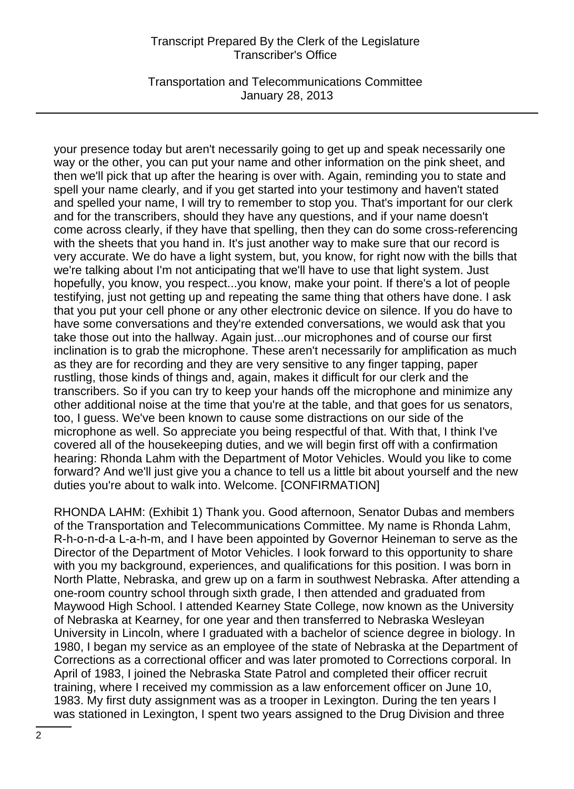Transportation and Telecommunications Committee January 28, 2013

your presence today but aren't necessarily going to get up and speak necessarily one way or the other, you can put your name and other information on the pink sheet, and then we'll pick that up after the hearing is over with. Again, reminding you to state and spell your name clearly, and if you get started into your testimony and haven't stated and spelled your name, I will try to remember to stop you. That's important for our clerk and for the transcribers, should they have any questions, and if your name doesn't come across clearly, if they have that spelling, then they can do some cross-referencing with the sheets that you hand in. It's just another way to make sure that our record is very accurate. We do have a light system, but, you know, for right now with the bills that we're talking about I'm not anticipating that we'll have to use that light system. Just hopefully, you know, you respect...you know, make your point. If there's a lot of people testifying, just not getting up and repeating the same thing that others have done. I ask that you put your cell phone or any other electronic device on silence. If you do have to have some conversations and they're extended conversations, we would ask that you take those out into the hallway. Again just...our microphones and of course our first inclination is to grab the microphone. These aren't necessarily for amplification as much as they are for recording and they are very sensitive to any finger tapping, paper rustling, those kinds of things and, again, makes it difficult for our clerk and the transcribers. So if you can try to keep your hands off the microphone and minimize any other additional noise at the time that you're at the table, and that goes for us senators, too, I guess. We've been known to cause some distractions on our side of the microphone as well. So appreciate you being respectful of that. With that, I think I've covered all of the housekeeping duties, and we will begin first off with a confirmation hearing: Rhonda Lahm with the Department of Motor Vehicles. Would you like to come forward? And we'll just give you a chance to tell us a little bit about yourself and the new duties you're about to walk into. Welcome. [CONFIRMATION]

RHONDA LAHM: (Exhibit 1) Thank you. Good afternoon, Senator Dubas and members of the Transportation and Telecommunications Committee. My name is Rhonda Lahm, R-h-o-n-d-a L-a-h-m, and I have been appointed by Governor Heineman to serve as the Director of the Department of Motor Vehicles. I look forward to this opportunity to share with you my background, experiences, and qualifications for this position. I was born in North Platte, Nebraska, and grew up on a farm in southwest Nebraska. After attending a one-room country school through sixth grade, I then attended and graduated from Maywood High School. I attended Kearney State College, now known as the University of Nebraska at Kearney, for one year and then transferred to Nebraska Wesleyan University in Lincoln, where I graduated with a bachelor of science degree in biology. In 1980, I began my service as an employee of the state of Nebraska at the Department of Corrections as a correctional officer and was later promoted to Corrections corporal. In April of 1983, I joined the Nebraska State Patrol and completed their officer recruit training, where I received my commission as a law enforcement officer on June 10, 1983. My first duty assignment was as a trooper in Lexington. During the ten years I was stationed in Lexington, I spent two years assigned to the Drug Division and three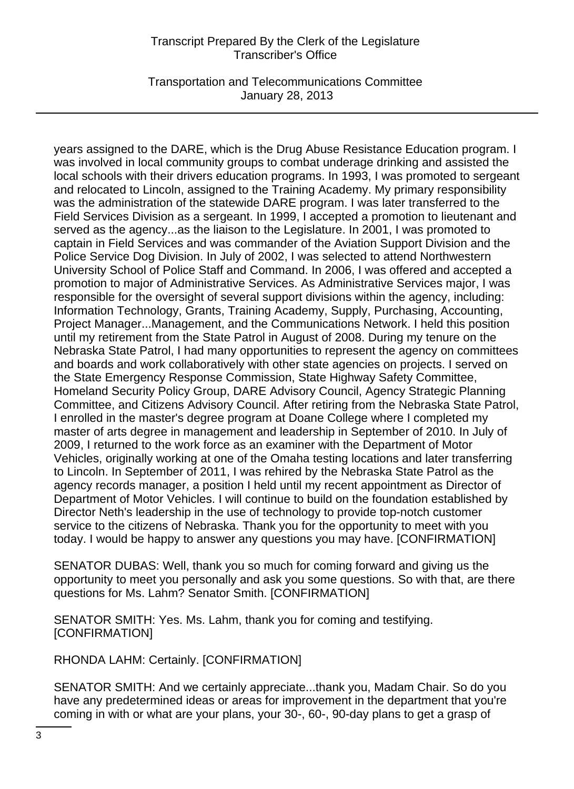Transportation and Telecommunications Committee January 28, 2013

years assigned to the DARE, which is the Drug Abuse Resistance Education program. I was involved in local community groups to combat underage drinking and assisted the local schools with their drivers education programs. In 1993, I was promoted to sergeant and relocated to Lincoln, assigned to the Training Academy. My primary responsibility was the administration of the statewide DARE program. I was later transferred to the Field Services Division as a sergeant. In 1999, I accepted a promotion to lieutenant and served as the agency...as the liaison to the Legislature. In 2001, I was promoted to captain in Field Services and was commander of the Aviation Support Division and the Police Service Dog Division. In July of 2002, I was selected to attend Northwestern University School of Police Staff and Command. In 2006, I was offered and accepted a promotion to major of Administrative Services. As Administrative Services major, I was responsible for the oversight of several support divisions within the agency, including: Information Technology, Grants, Training Academy, Supply, Purchasing, Accounting, Project Manager...Management, and the Communications Network. I held this position until my retirement from the State Patrol in August of 2008. During my tenure on the Nebraska State Patrol, I had many opportunities to represent the agency on committees and boards and work collaboratively with other state agencies on projects. I served on the State Emergency Response Commission, State Highway Safety Committee, Homeland Security Policy Group, DARE Advisory Council, Agency Strategic Planning Committee, and Citizens Advisory Council. After retiring from the Nebraska State Patrol, I enrolled in the master's degree program at Doane College where I completed my master of arts degree in management and leadership in September of 2010. In July of 2009, I returned to the work force as an examiner with the Department of Motor Vehicles, originally working at one of the Omaha testing locations and later transferring to Lincoln. In September of 2011, I was rehired by the Nebraska State Patrol as the agency records manager, a position I held until my recent appointment as Director of Department of Motor Vehicles. I will continue to build on the foundation established by Director Neth's leadership in the use of technology to provide top-notch customer service to the citizens of Nebraska. Thank you for the opportunity to meet with you today. I would be happy to answer any questions you may have. [CONFIRMATION]

SENATOR DUBAS: Well, thank you so much for coming forward and giving us the opportunity to meet you personally and ask you some questions. So with that, are there questions for Ms. Lahm? Senator Smith. [CONFIRMATION]

SENATOR SMITH: Yes. Ms. Lahm, thank you for coming and testifying. [CONFIRMATION]

RHONDA LAHM: Certainly. [CONFIRMATION]

SENATOR SMITH: And we certainly appreciate...thank you, Madam Chair. So do you have any predetermined ideas or areas for improvement in the department that you're coming in with or what are your plans, your 30-, 60-, 90-day plans to get a grasp of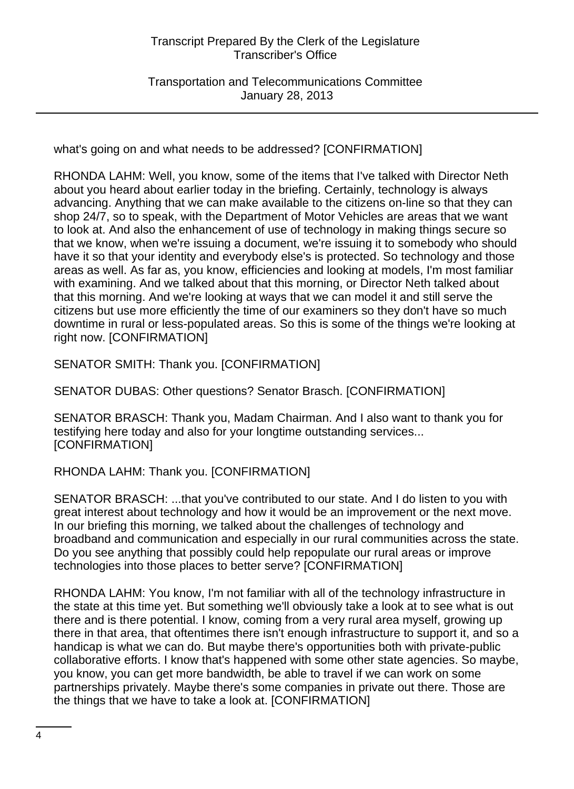Transportation and Telecommunications Committee January 28, 2013

what's going on and what needs to be addressed? [CONFIRMATION]

RHONDA LAHM: Well, you know, some of the items that I've talked with Director Neth about you heard about earlier today in the briefing. Certainly, technology is always advancing. Anything that we can make available to the citizens on-line so that they can shop 24/7, so to speak, with the Department of Motor Vehicles are areas that we want to look at. And also the enhancement of use of technology in making things secure so that we know, when we're issuing a document, we're issuing it to somebody who should have it so that your identity and everybody else's is protected. So technology and those areas as well. As far as, you know, efficiencies and looking at models, I'm most familiar with examining. And we talked about that this morning, or Director Neth talked about that this morning. And we're looking at ways that we can model it and still serve the citizens but use more efficiently the time of our examiners so they don't have so much downtime in rural or less-populated areas. So this is some of the things we're looking at right now. [CONFIRMATION]

SENATOR SMITH: Thank you. [CONFIRMATION]

SENATOR DUBAS: Other questions? Senator Brasch. [CONFIRMATION]

SENATOR BRASCH: Thank you, Madam Chairman. And I also want to thank you for testifying here today and also for your longtime outstanding services... [CONFIRMATION]

# RHONDA LAHM: Thank you. [CONFIRMATION]

SENATOR BRASCH: ...that you've contributed to our state. And I do listen to you with great interest about technology and how it would be an improvement or the next move. In our briefing this morning, we talked about the challenges of technology and broadband and communication and especially in our rural communities across the state. Do you see anything that possibly could help repopulate our rural areas or improve technologies into those places to better serve? [CONFIRMATION]

RHONDA LAHM: You know, I'm not familiar with all of the technology infrastructure in the state at this time yet. But something we'll obviously take a look at to see what is out there and is there potential. I know, coming from a very rural area myself, growing up there in that area, that oftentimes there isn't enough infrastructure to support it, and so a handicap is what we can do. But maybe there's opportunities both with private-public collaborative efforts. I know that's happened with some other state agencies. So maybe, you know, you can get more bandwidth, be able to travel if we can work on some partnerships privately. Maybe there's some companies in private out there. Those are the things that we have to take a look at. [CONFIRMATION]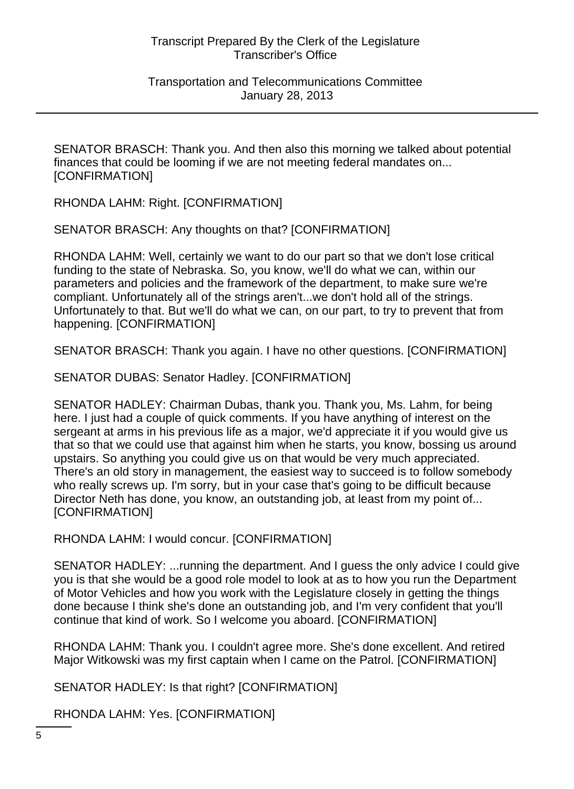Transportation and Telecommunications Committee January 28, 2013

SENATOR BRASCH: Thank you. And then also this morning we talked about potential finances that could be looming if we are not meeting federal mandates on... [CONFIRMATION]

RHONDA LAHM: Right. [CONFIRMATION]

SENATOR BRASCH: Any thoughts on that? [CONFIRMATION]

RHONDA LAHM: Well, certainly we want to do our part so that we don't lose critical funding to the state of Nebraska. So, you know, we'll do what we can, within our parameters and policies and the framework of the department, to make sure we're compliant. Unfortunately all of the strings aren't...we don't hold all of the strings. Unfortunately to that. But we'll do what we can, on our part, to try to prevent that from happening. [CONFIRMATION]

SENATOR BRASCH: Thank you again. I have no other questions. [CONFIRMATION]

SENATOR DUBAS: Senator Hadley. [CONFIRMATION]

SENATOR HADLEY: Chairman Dubas, thank you. Thank you, Ms. Lahm, for being here. I just had a couple of quick comments. If you have anything of interest on the sergeant at arms in his previous life as a major, we'd appreciate it if you would give us that so that we could use that against him when he starts, you know, bossing us around upstairs. So anything you could give us on that would be very much appreciated. There's an old story in management, the easiest way to succeed is to follow somebody who really screws up. I'm sorry, but in your case that's going to be difficult because Director Neth has done, you know, an outstanding job, at least from my point of... [CONFIRMATION]

RHONDA LAHM: I would concur. [CONFIRMATION]

SENATOR HADLEY: ...running the department. And I guess the only advice I could give you is that she would be a good role model to look at as to how you run the Department of Motor Vehicles and how you work with the Legislature closely in getting the things done because I think she's done an outstanding job, and I'm very confident that you'll continue that kind of work. So I welcome you aboard. [CONFIRMATION]

RHONDA LAHM: Thank you. I couldn't agree more. She's done excellent. And retired Major Witkowski was my first captain when I came on the Patrol. [CONFIRMATION]

SENATOR HADLEY: Is that right? [CONFIRMATION]

RHONDA LAHM: Yes. [CONFIRMATION]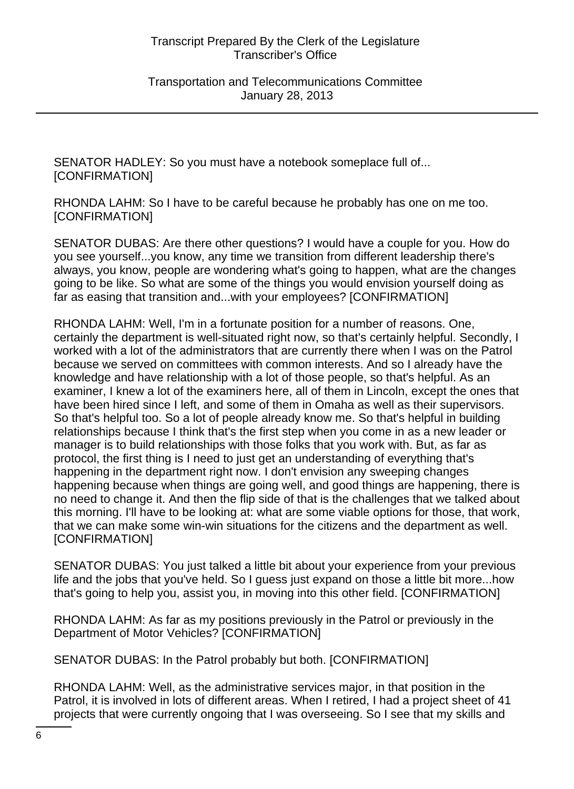Transportation and Telecommunications Committee January 28, 2013

SENATOR HADLEY: So you must have a notebook someplace full of... [CONFIRMATION]

RHONDA LAHM: So I have to be careful because he probably has one on me too. [CONFIRMATION]

SENATOR DUBAS: Are there other questions? I would have a couple for you. How do you see yourself...you know, any time we transition from different leadership there's always, you know, people are wondering what's going to happen, what are the changes going to be like. So what are some of the things you would envision yourself doing as far as easing that transition and...with your employees? [CONFIRMATION]

RHONDA LAHM: Well, I'm in a fortunate position for a number of reasons. One, certainly the department is well-situated right now, so that's certainly helpful. Secondly, I worked with a lot of the administrators that are currently there when I was on the Patrol because we served on committees with common interests. And so I already have the knowledge and have relationship with a lot of those people, so that's helpful. As an examiner, I knew a lot of the examiners here, all of them in Lincoln, except the ones that have been hired since I left, and some of them in Omaha as well as their supervisors. So that's helpful too. So a lot of people already know me. So that's helpful in building relationships because I think that's the first step when you come in as a new leader or manager is to build relationships with those folks that you work with. But, as far as protocol, the first thing is I need to just get an understanding of everything that's happening in the department right now. I don't envision any sweeping changes happening because when things are going well, and good things are happening, there is no need to change it. And then the flip side of that is the challenges that we talked about this morning. I'll have to be looking at: what are some viable options for those, that work, that we can make some win-win situations for the citizens and the department as well. [CONFIRMATION]

SENATOR DUBAS: You just talked a little bit about your experience from your previous life and the jobs that you've held. So I guess just expand on those a little bit more...how that's going to help you, assist you, in moving into this other field. [CONFIRMATION]

RHONDA LAHM: As far as my positions previously in the Patrol or previously in the Department of Motor Vehicles? [CONFIRMATION]

SENATOR DUBAS: In the Patrol probably but both. [CONFIRMATION]

RHONDA LAHM: Well, as the administrative services major, in that position in the Patrol, it is involved in lots of different areas. When I retired, I had a project sheet of 41 projects that were currently ongoing that I was overseeing. So I see that my skills and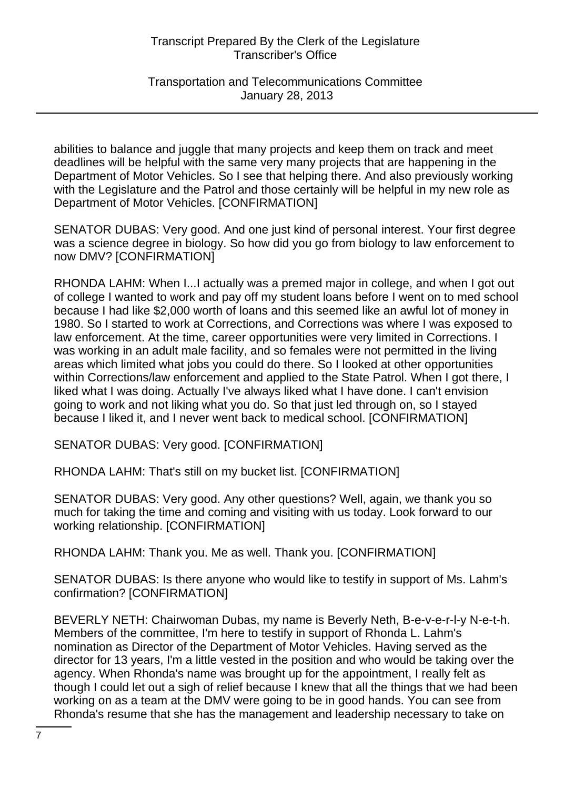Transportation and Telecommunications Committee January 28, 2013

abilities to balance and juggle that many projects and keep them on track and meet deadlines will be helpful with the same very many projects that are happening in the Department of Motor Vehicles. So I see that helping there. And also previously working with the Legislature and the Patrol and those certainly will be helpful in my new role as Department of Motor Vehicles. [CONFIRMATION]

SENATOR DUBAS: Very good. And one just kind of personal interest. Your first degree was a science degree in biology. So how did you go from biology to law enforcement to now DMV? [CONFIRMATION]

RHONDA LAHM: When I...I actually was a premed major in college, and when I got out of college I wanted to work and pay off my student loans before I went on to med school because I had like \$2,000 worth of loans and this seemed like an awful lot of money in 1980. So I started to work at Corrections, and Corrections was where I was exposed to law enforcement. At the time, career opportunities were very limited in Corrections. I was working in an adult male facility, and so females were not permitted in the living areas which limited what jobs you could do there. So I looked at other opportunities within Corrections/law enforcement and applied to the State Patrol. When I got there, I liked what I was doing. Actually I've always liked what I have done. I can't envision going to work and not liking what you do. So that just led through on, so I stayed because I liked it, and I never went back to medical school. [CONFIRMATION]

SENATOR DUBAS: Very good. [CONFIRMATION]

RHONDA LAHM: That's still on my bucket list. [CONFIRMATION]

SENATOR DUBAS: Very good. Any other questions? Well, again, we thank you so much for taking the time and coming and visiting with us today. Look forward to our working relationship. [CONFIRMATION]

RHONDA LAHM: Thank you. Me as well. Thank you. [CONFIRMATION]

SENATOR DUBAS: Is there anyone who would like to testify in support of Ms. Lahm's confirmation? [CONFIRMATION]

BEVERLY NETH: Chairwoman Dubas, my name is Beverly Neth, B-e-v-e-r-l-y N-e-t-h. Members of the committee, I'm here to testify in support of Rhonda L. Lahm's nomination as Director of the Department of Motor Vehicles. Having served as the director for 13 years, I'm a little vested in the position and who would be taking over the agency. When Rhonda's name was brought up for the appointment, I really felt as though I could let out a sigh of relief because I knew that all the things that we had been working on as a team at the DMV were going to be in good hands. You can see from Rhonda's resume that she has the management and leadership necessary to take on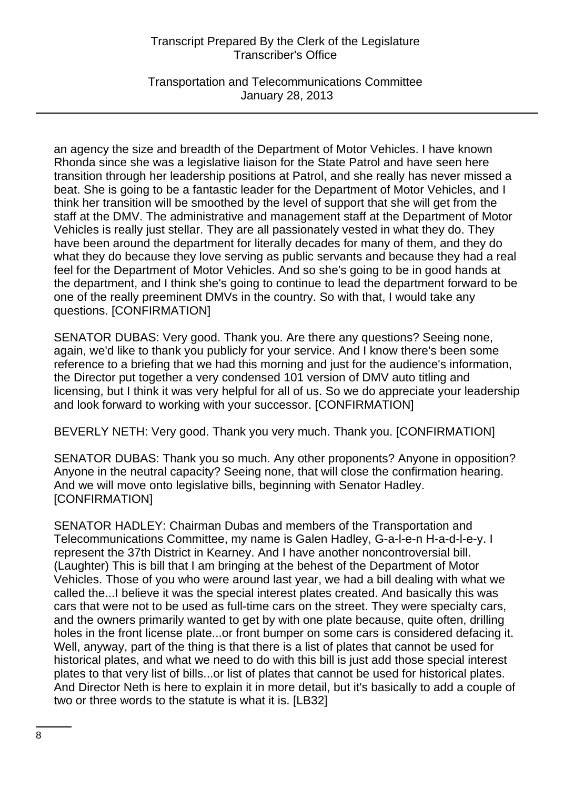Transportation and Telecommunications Committee January 28, 2013

an agency the size and breadth of the Department of Motor Vehicles. I have known Rhonda since she was a legislative liaison for the State Patrol and have seen here transition through her leadership positions at Patrol, and she really has never missed a beat. She is going to be a fantastic leader for the Department of Motor Vehicles, and I think her transition will be smoothed by the level of support that she will get from the staff at the DMV. The administrative and management staff at the Department of Motor Vehicles is really just stellar. They are all passionately vested in what they do. They have been around the department for literally decades for many of them, and they do what they do because they love serving as public servants and because they had a real feel for the Department of Motor Vehicles. And so she's going to be in good hands at the department, and I think she's going to continue to lead the department forward to be one of the really preeminent DMVs in the country. So with that, I would take any questions. [CONFIRMATION]

SENATOR DUBAS: Very good. Thank you. Are there any questions? Seeing none, again, we'd like to thank you publicly for your service. And I know there's been some reference to a briefing that we had this morning and just for the audience's information, the Director put together a very condensed 101 version of DMV auto titling and licensing, but I think it was very helpful for all of us. So we do appreciate your leadership and look forward to working with your successor. [CONFIRMATION]

BEVERLY NETH: Very good. Thank you very much. Thank you. [CONFIRMATION]

SENATOR DUBAS: Thank you so much. Any other proponents? Anyone in opposition? Anyone in the neutral capacity? Seeing none, that will close the confirmation hearing. And we will move onto legislative bills, beginning with Senator Hadley. [CONFIRMATION]

SENATOR HADLEY: Chairman Dubas and members of the Transportation and Telecommunications Committee, my name is Galen Hadley, G-a-l-e-n H-a-d-l-e-y. I represent the 37th District in Kearney. And I have another noncontroversial bill. (Laughter) This is bill that I am bringing at the behest of the Department of Motor Vehicles. Those of you who were around last year, we had a bill dealing with what we called the...I believe it was the special interest plates created. And basically this was cars that were not to be used as full-time cars on the street. They were specialty cars, and the owners primarily wanted to get by with one plate because, quite often, drilling holes in the front license plate...or front bumper on some cars is considered defacing it. Well, anyway, part of the thing is that there is a list of plates that cannot be used for historical plates, and what we need to do with this bill is just add those special interest plates to that very list of bills...or list of plates that cannot be used for historical plates. And Director Neth is here to explain it in more detail, but it's basically to add a couple of two or three words to the statute is what it is. [LB32]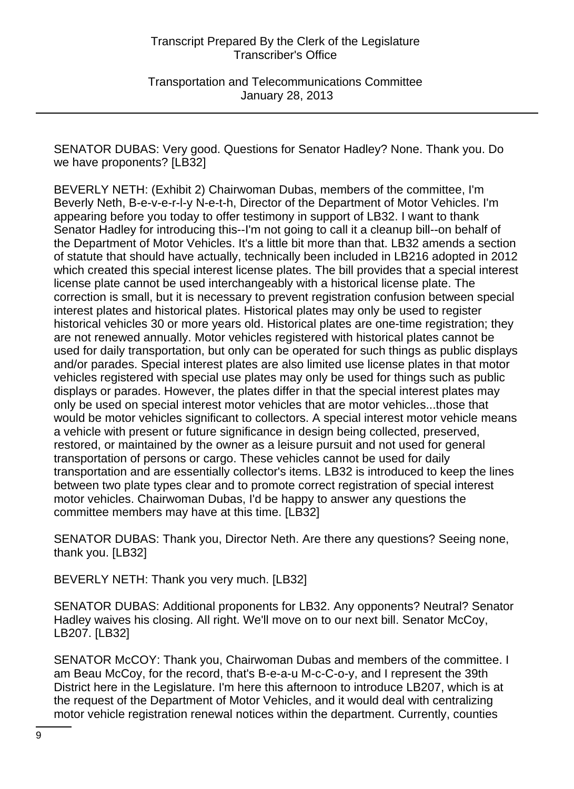Transportation and Telecommunications Committee January 28, 2013

SENATOR DUBAS: Very good. Questions for Senator Hadley? None. Thank you. Do we have proponents? [LB32]

BEVERLY NETH: (Exhibit 2) Chairwoman Dubas, members of the committee, I'm Beverly Neth, B-e-v-e-r-l-y N-e-t-h, Director of the Department of Motor Vehicles. I'm appearing before you today to offer testimony in support of LB32. I want to thank Senator Hadley for introducing this--I'm not going to call it a cleanup bill--on behalf of the Department of Motor Vehicles. It's a little bit more than that. LB32 amends a section of statute that should have actually, technically been included in LB216 adopted in 2012 which created this special interest license plates. The bill provides that a special interest license plate cannot be used interchangeably with a historical license plate. The correction is small, but it is necessary to prevent registration confusion between special interest plates and historical plates. Historical plates may only be used to register historical vehicles 30 or more years old. Historical plates are one-time registration; they are not renewed annually. Motor vehicles registered with historical plates cannot be used for daily transportation, but only can be operated for such things as public displays and/or parades. Special interest plates are also limited use license plates in that motor vehicles registered with special use plates may only be used for things such as public displays or parades. However, the plates differ in that the special interest plates may only be used on special interest motor vehicles that are motor vehicles...those that would be motor vehicles significant to collectors. A special interest motor vehicle means a vehicle with present or future significance in design being collected, preserved, restored, or maintained by the owner as a leisure pursuit and not used for general transportation of persons or cargo. These vehicles cannot be used for daily transportation and are essentially collector's items. LB32 is introduced to keep the lines between two plate types clear and to promote correct registration of special interest motor vehicles. Chairwoman Dubas, I'd be happy to answer any questions the committee members may have at this time. [LB32]

SENATOR DUBAS: Thank you, Director Neth. Are there any questions? Seeing none, thank you. [LB32]

BEVERLY NETH: Thank you very much. [LB32]

SENATOR DUBAS: Additional proponents for LB32. Any opponents? Neutral? Senator Hadley waives his closing. All right. We'll move on to our next bill. Senator McCoy, LB207. [LB32]

SENATOR McCOY: Thank you, Chairwoman Dubas and members of the committee. I am Beau McCoy, for the record, that's B-e-a-u M-c-C-o-y, and I represent the 39th District here in the Legislature. I'm here this afternoon to introduce LB207, which is at the request of the Department of Motor Vehicles, and it would deal with centralizing motor vehicle registration renewal notices within the department. Currently, counties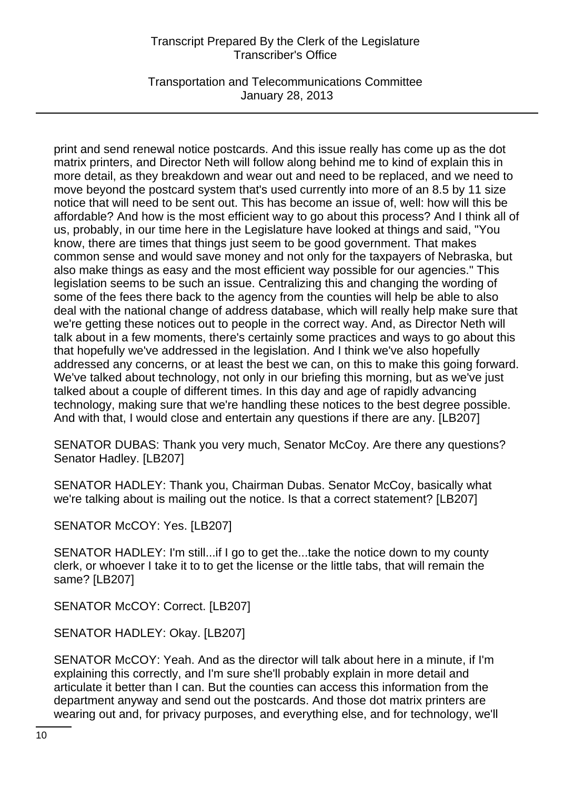Transportation and Telecommunications Committee January 28, 2013

print and send renewal notice postcards. And this issue really has come up as the dot matrix printers, and Director Neth will follow along behind me to kind of explain this in more detail, as they breakdown and wear out and need to be replaced, and we need to move beyond the postcard system that's used currently into more of an 8.5 by 11 size notice that will need to be sent out. This has become an issue of, well: how will this be affordable? And how is the most efficient way to go about this process? And I think all of us, probably, in our time here in the Legislature have looked at things and said, "You know, there are times that things just seem to be good government. That makes common sense and would save money and not only for the taxpayers of Nebraska, but also make things as easy and the most efficient way possible for our agencies." This legislation seems to be such an issue. Centralizing this and changing the wording of some of the fees there back to the agency from the counties will help be able to also deal with the national change of address database, which will really help make sure that we're getting these notices out to people in the correct way. And, as Director Neth will talk about in a few moments, there's certainly some practices and ways to go about this that hopefully we've addressed in the legislation. And I think we've also hopefully addressed any concerns, or at least the best we can, on this to make this going forward. We've talked about technology, not only in our briefing this morning, but as we've just talked about a couple of different times. In this day and age of rapidly advancing technology, making sure that we're handling these notices to the best degree possible. And with that, I would close and entertain any questions if there are any. [LB207]

SENATOR DUBAS: Thank you very much, Senator McCoy. Are there any questions? Senator Hadley. [LB207]

SENATOR HADLEY: Thank you, Chairman Dubas. Senator McCoy, basically what we're talking about is mailing out the notice. Is that a correct statement? [LB207]

SENATOR McCOY: Yes. [LB207]

SENATOR HADLEY: I'm still...if I go to get the...take the notice down to my county clerk, or whoever I take it to to get the license or the little tabs, that will remain the same? [LB207]

SENATOR McCOY: Correct. [LB207]

SENATOR HADLEY: Okay. [LB207]

SENATOR McCOY: Yeah. And as the director will talk about here in a minute, if I'm explaining this correctly, and I'm sure she'll probably explain in more detail and articulate it better than I can. But the counties can access this information from the department anyway and send out the postcards. And those dot matrix printers are wearing out and, for privacy purposes, and everything else, and for technology, we'll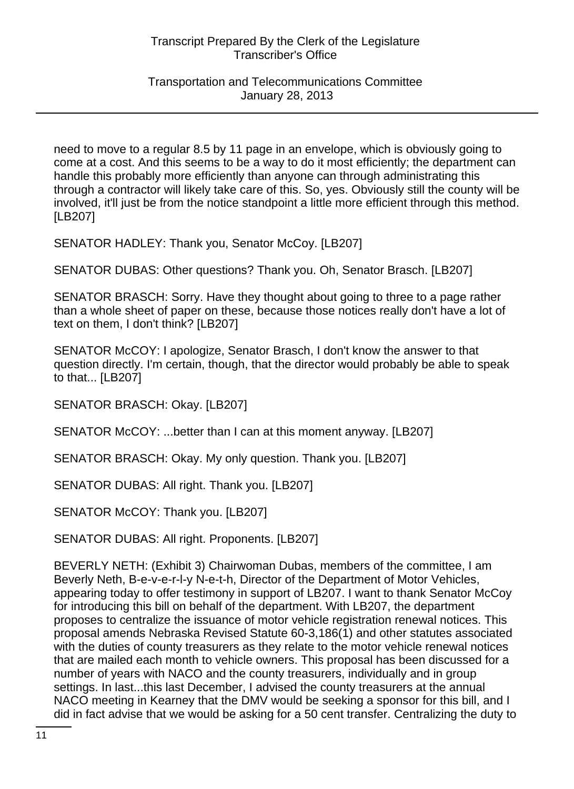### Transportation and Telecommunications Committee January 28, 2013

need to move to a regular 8.5 by 11 page in an envelope, which is obviously going to come at a cost. And this seems to be a way to do it most efficiently; the department can handle this probably more efficiently than anyone can through administrating this through a contractor will likely take care of this. So, yes. Obviously still the county will be involved, it'll just be from the notice standpoint a little more efficient through this method. [LB207]

SENATOR HADLEY: Thank you, Senator McCoy. [LB207]

SENATOR DUBAS: Other questions? Thank you. Oh, Senator Brasch. [LB207]

SENATOR BRASCH: Sorry. Have they thought about going to three to a page rather than a whole sheet of paper on these, because those notices really don't have a lot of text on them, I don't think? [LB207]

SENATOR McCOY: I apologize, Senator Brasch, I don't know the answer to that question directly. I'm certain, though, that the director would probably be able to speak to that... [LB207]

SENATOR BRASCH: Okay. [LB207]

SENATOR McCOY: ...better than I can at this moment anyway. [LB207]

SENATOR BRASCH: Okay. My only question. Thank you. [LB207]

SENATOR DUBAS: All right. Thank you. [LB207]

SENATOR McCOY: Thank you. [LB207]

SENATOR DUBAS: All right. Proponents. [LB207]

BEVERLY NETH: (Exhibit 3) Chairwoman Dubas, members of the committee, I am Beverly Neth, B-e-v-e-r-l-y N-e-t-h, Director of the Department of Motor Vehicles, appearing today to offer testimony in support of LB207. I want to thank Senator McCoy for introducing this bill on behalf of the department. With LB207, the department proposes to centralize the issuance of motor vehicle registration renewal notices. This proposal amends Nebraska Revised Statute 60-3,186(1) and other statutes associated with the duties of county treasurers as they relate to the motor vehicle renewal notices that are mailed each month to vehicle owners. This proposal has been discussed for a number of years with NACO and the county treasurers, individually and in group settings. In last...this last December, I advised the county treasurers at the annual NACO meeting in Kearney that the DMV would be seeking a sponsor for this bill, and I did in fact advise that we would be asking for a 50 cent transfer. Centralizing the duty to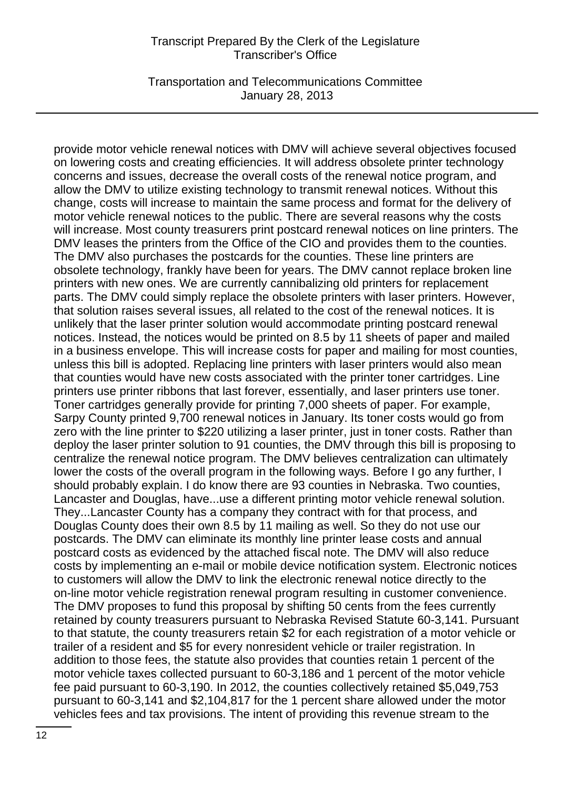Transportation and Telecommunications Committee January 28, 2013

provide motor vehicle renewal notices with DMV will achieve several objectives focused on lowering costs and creating efficiencies. It will address obsolete printer technology concerns and issues, decrease the overall costs of the renewal notice program, and allow the DMV to utilize existing technology to transmit renewal notices. Without this change, costs will increase to maintain the same process and format for the delivery of motor vehicle renewal notices to the public. There are several reasons why the costs will increase. Most county treasurers print postcard renewal notices on line printers. The DMV leases the printers from the Office of the CIO and provides them to the counties. The DMV also purchases the postcards for the counties. These line printers are obsolete technology, frankly have been for years. The DMV cannot replace broken line printers with new ones. We are currently cannibalizing old printers for replacement parts. The DMV could simply replace the obsolete printers with laser printers. However, that solution raises several issues, all related to the cost of the renewal notices. It is unlikely that the laser printer solution would accommodate printing postcard renewal notices. Instead, the notices would be printed on 8.5 by 11 sheets of paper and mailed in a business envelope. This will increase costs for paper and mailing for most counties, unless this bill is adopted. Replacing line printers with laser printers would also mean that counties would have new costs associated with the printer toner cartridges. Line printers use printer ribbons that last forever, essentially, and laser printers use toner. Toner cartridges generally provide for printing 7,000 sheets of paper. For example, Sarpy County printed 9,700 renewal notices in January. Its toner costs would go from zero with the line printer to \$220 utilizing a laser printer, just in toner costs. Rather than deploy the laser printer solution to 91 counties, the DMV through this bill is proposing to centralize the renewal notice program. The DMV believes centralization can ultimately lower the costs of the overall program in the following ways. Before I go any further, I should probably explain. I do know there are 93 counties in Nebraska. Two counties, Lancaster and Douglas, have...use a different printing motor vehicle renewal solution. They...Lancaster County has a company they contract with for that process, and Douglas County does their own 8.5 by 11 mailing as well. So they do not use our postcards. The DMV can eliminate its monthly line printer lease costs and annual postcard costs as evidenced by the attached fiscal note. The DMV will also reduce costs by implementing an e-mail or mobile device notification system. Electronic notices to customers will allow the DMV to link the electronic renewal notice directly to the on-line motor vehicle registration renewal program resulting in customer convenience. The DMV proposes to fund this proposal by shifting 50 cents from the fees currently retained by county treasurers pursuant to Nebraska Revised Statute 60-3,141. Pursuant to that statute, the county treasurers retain \$2 for each registration of a motor vehicle or trailer of a resident and \$5 for every nonresident vehicle or trailer registration. In addition to those fees, the statute also provides that counties retain 1 percent of the motor vehicle taxes collected pursuant to 60-3,186 and 1 percent of the motor vehicle fee paid pursuant to 60-3,190. In 2012, the counties collectively retained \$5,049,753 pursuant to 60-3,141 and \$2,104,817 for the 1 percent share allowed under the motor vehicles fees and tax provisions. The intent of providing this revenue stream to the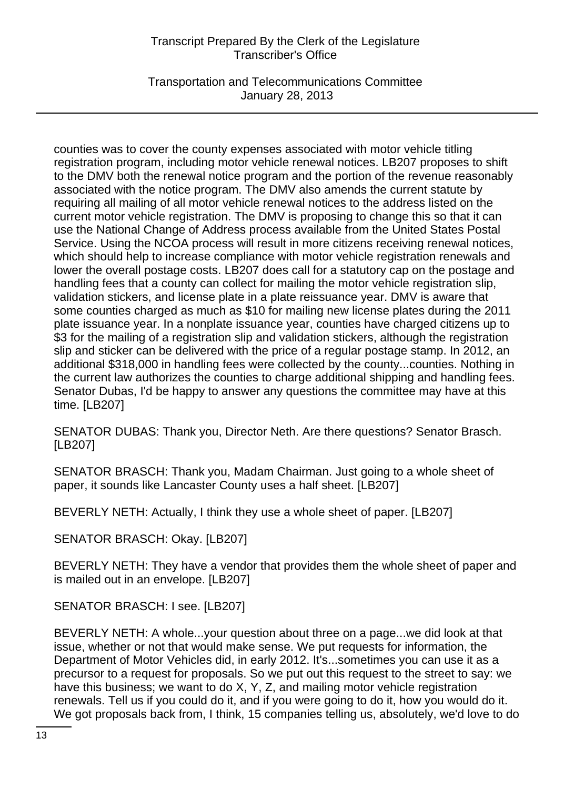Transportation and Telecommunications Committee January 28, 2013

counties was to cover the county expenses associated with motor vehicle titling registration program, including motor vehicle renewal notices. LB207 proposes to shift to the DMV both the renewal notice program and the portion of the revenue reasonably associated with the notice program. The DMV also amends the current statute by requiring all mailing of all motor vehicle renewal notices to the address listed on the current motor vehicle registration. The DMV is proposing to change this so that it can use the National Change of Address process available from the United States Postal Service. Using the NCOA process will result in more citizens receiving renewal notices, which should help to increase compliance with motor vehicle registration renewals and lower the overall postage costs. LB207 does call for a statutory cap on the postage and handling fees that a county can collect for mailing the motor vehicle registration slip, validation stickers, and license plate in a plate reissuance year. DMV is aware that some counties charged as much as \$10 for mailing new license plates during the 2011 plate issuance year. In a nonplate issuance year, counties have charged citizens up to \$3 for the mailing of a registration slip and validation stickers, although the registration slip and sticker can be delivered with the price of a regular postage stamp. In 2012, an additional \$318,000 in handling fees were collected by the county...counties. Nothing in the current law authorizes the counties to charge additional shipping and handling fees. Senator Dubas, I'd be happy to answer any questions the committee may have at this time. [LB207]

SENATOR DUBAS: Thank you, Director Neth. Are there questions? Senator Brasch. [LB207]

SENATOR BRASCH: Thank you, Madam Chairman. Just going to a whole sheet of paper, it sounds like Lancaster County uses a half sheet. [LB207]

BEVERLY NETH: Actually, I think they use a whole sheet of paper. [LB207]

SENATOR BRASCH: Okay. [LB207]

BEVERLY NETH: They have a vendor that provides them the whole sheet of paper and is mailed out in an envelope. [LB207]

SENATOR BRASCH: I see. [LB207]

BEVERLY NETH: A whole...your question about three on a page...we did look at that issue, whether or not that would make sense. We put requests for information, the Department of Motor Vehicles did, in early 2012. It's...sometimes you can use it as a precursor to a request for proposals. So we put out this request to the street to say: we have this business; we want to do X, Y, Z, and mailing motor vehicle registration renewals. Tell us if you could do it, and if you were going to do it, how you would do it. We got proposals back from, I think, 15 companies telling us, absolutely, we'd love to do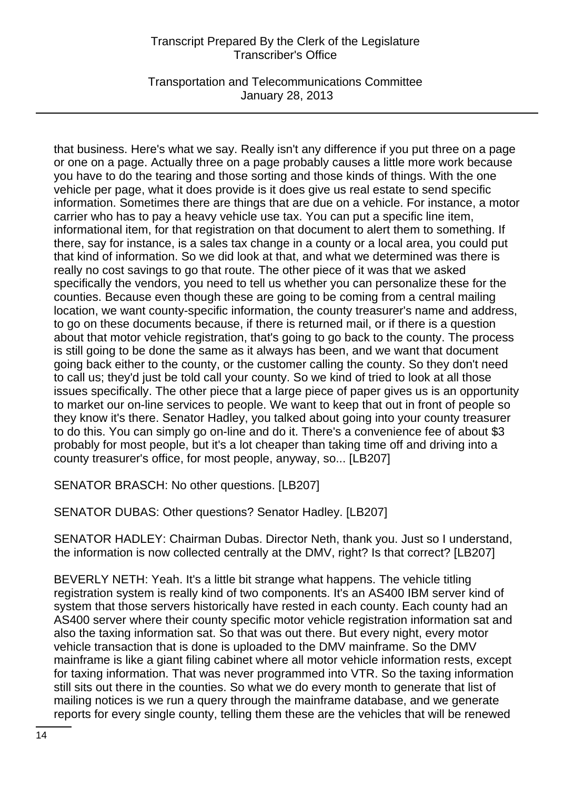Transportation and Telecommunications Committee January 28, 2013

that business. Here's what we say. Really isn't any difference if you put three on a page or one on a page. Actually three on a page probably causes a little more work because you have to do the tearing and those sorting and those kinds of things. With the one vehicle per page, what it does provide is it does give us real estate to send specific information. Sometimes there are things that are due on a vehicle. For instance, a motor carrier who has to pay a heavy vehicle use tax. You can put a specific line item, informational item, for that registration on that document to alert them to something. If there, say for instance, is a sales tax change in a county or a local area, you could put that kind of information. So we did look at that, and what we determined was there is really no cost savings to go that route. The other piece of it was that we asked specifically the vendors, you need to tell us whether you can personalize these for the counties. Because even though these are going to be coming from a central mailing location, we want county-specific information, the county treasurer's name and address, to go on these documents because, if there is returned mail, or if there is a question about that motor vehicle registration, that's going to go back to the county. The process is still going to be done the same as it always has been, and we want that document going back either to the county, or the customer calling the county. So they don't need to call us; they'd just be told call your county. So we kind of tried to look at all those issues specifically. The other piece that a large piece of paper gives us is an opportunity to market our on-line services to people. We want to keep that out in front of people so they know it's there. Senator Hadley, you talked about going into your county treasurer to do this. You can simply go on-line and do it. There's a convenience fee of about \$3 probably for most people, but it's a lot cheaper than taking time off and driving into a county treasurer's office, for most people, anyway, so... [LB207]

SENATOR BRASCH: No other questions. [LB207]

SENATOR DUBAS: Other questions? Senator Hadley. [LB207]

SENATOR HADLEY: Chairman Dubas. Director Neth, thank you. Just so I understand, the information is now collected centrally at the DMV, right? Is that correct? [LB207]

BEVERLY NETH: Yeah. It's a little bit strange what happens. The vehicle titling registration system is really kind of two components. It's an AS400 IBM server kind of system that those servers historically have rested in each county. Each county had an AS400 server where their county specific motor vehicle registration information sat and also the taxing information sat. So that was out there. But every night, every motor vehicle transaction that is done is uploaded to the DMV mainframe. So the DMV mainframe is like a giant filing cabinet where all motor vehicle information rests, except for taxing information. That was never programmed into VTR. So the taxing information still sits out there in the counties. So what we do every month to generate that list of mailing notices is we run a query through the mainframe database, and we generate reports for every single county, telling them these are the vehicles that will be renewed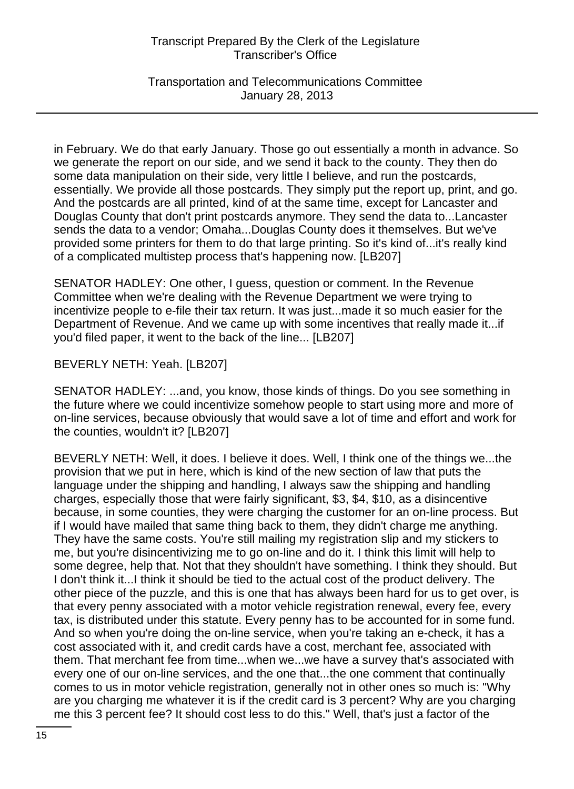Transportation and Telecommunications Committee January 28, 2013

in February. We do that early January. Those go out essentially a month in advance. So we generate the report on our side, and we send it back to the county. They then do some data manipulation on their side, very little I believe, and run the postcards, essentially. We provide all those postcards. They simply put the report up, print, and go. And the postcards are all printed, kind of at the same time, except for Lancaster and Douglas County that don't print postcards anymore. They send the data to...Lancaster sends the data to a vendor; Omaha...Douglas County does it themselves. But we've provided some printers for them to do that large printing. So it's kind of...it's really kind of a complicated multistep process that's happening now. [LB207]

SENATOR HADLEY: One other, I guess, question or comment. In the Revenue Committee when we're dealing with the Revenue Department we were trying to incentivize people to e-file their tax return. It was just...made it so much easier for the Department of Revenue. And we came up with some incentives that really made it...if you'd filed paper, it went to the back of the line... [LB207]

BEVERLY NETH: Yeah. [LB207]

SENATOR HADLEY: ...and, you know, those kinds of things. Do you see something in the future where we could incentivize somehow people to start using more and more of on-line services, because obviously that would save a lot of time and effort and work for the counties, wouldn't it? [LB207]

BEVERLY NETH: Well, it does. I believe it does. Well, I think one of the things we...the provision that we put in here, which is kind of the new section of law that puts the language under the shipping and handling, I always saw the shipping and handling charges, especially those that were fairly significant, \$3, \$4, \$10, as a disincentive because, in some counties, they were charging the customer for an on-line process. But if I would have mailed that same thing back to them, they didn't charge me anything. They have the same costs. You're still mailing my registration slip and my stickers to me, but you're disincentivizing me to go on-line and do it. I think this limit will help to some degree, help that. Not that they shouldn't have something. I think they should. But I don't think it...I think it should be tied to the actual cost of the product delivery. The other piece of the puzzle, and this is one that has always been hard for us to get over, is that every penny associated with a motor vehicle registration renewal, every fee, every tax, is distributed under this statute. Every penny has to be accounted for in some fund. And so when you're doing the on-line service, when you're taking an e-check, it has a cost associated with it, and credit cards have a cost, merchant fee, associated with them. That merchant fee from time...when we...we have a survey that's associated with every one of our on-line services, and the one that...the one comment that continually comes to us in motor vehicle registration, generally not in other ones so much is: "Why are you charging me whatever it is if the credit card is 3 percent? Why are you charging me this 3 percent fee? It should cost less to do this." Well, that's just a factor of the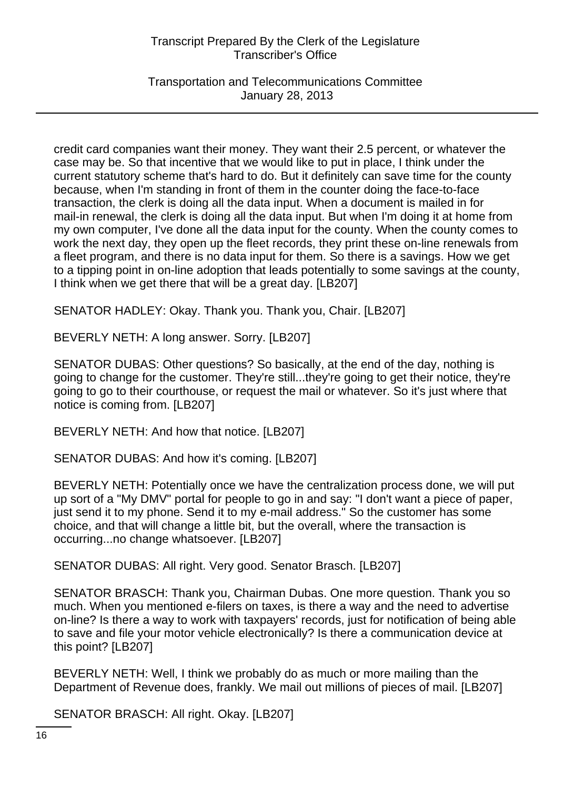Transportation and Telecommunications Committee January 28, 2013

credit card companies want their money. They want their 2.5 percent, or whatever the case may be. So that incentive that we would like to put in place, I think under the current statutory scheme that's hard to do. But it definitely can save time for the county because, when I'm standing in front of them in the counter doing the face-to-face transaction, the clerk is doing all the data input. When a document is mailed in for mail-in renewal, the clerk is doing all the data input. But when I'm doing it at home from my own computer, I've done all the data input for the county. When the county comes to work the next day, they open up the fleet records, they print these on-line renewals from a fleet program, and there is no data input for them. So there is a savings. How we get to a tipping point in on-line adoption that leads potentially to some savings at the county, I think when we get there that will be a great day. [LB207]

SENATOR HADLEY: Okay. Thank you. Thank you, Chair. [LB207]

BEVERLY NETH: A long answer. Sorry. [LB207]

SENATOR DUBAS: Other questions? So basically, at the end of the day, nothing is going to change for the customer. They're still...they're going to get their notice, they're going to go to their courthouse, or request the mail or whatever. So it's just where that notice is coming from. [LB207]

BEVERLY NETH: And how that notice. [LB207]

SENATOR DUBAS: And how it's coming. [LB207]

BEVERLY NETH: Potentially once we have the centralization process done, we will put up sort of a "My DMV" portal for people to go in and say: "I don't want a piece of paper, just send it to my phone. Send it to my e-mail address." So the customer has some choice, and that will change a little bit, but the overall, where the transaction is occurring...no change whatsoever. [LB207]

SENATOR DUBAS: All right. Very good. Senator Brasch. [LB207]

SENATOR BRASCH: Thank you, Chairman Dubas. One more question. Thank you so much. When you mentioned e-filers on taxes, is there a way and the need to advertise on-line? Is there a way to work with taxpayers' records, just for notification of being able to save and file your motor vehicle electronically? Is there a communication device at this point? [LB207]

BEVERLY NETH: Well, I think we probably do as much or more mailing than the Department of Revenue does, frankly. We mail out millions of pieces of mail. [LB207]

SENATOR BRASCH: All right. Okay. [LB207]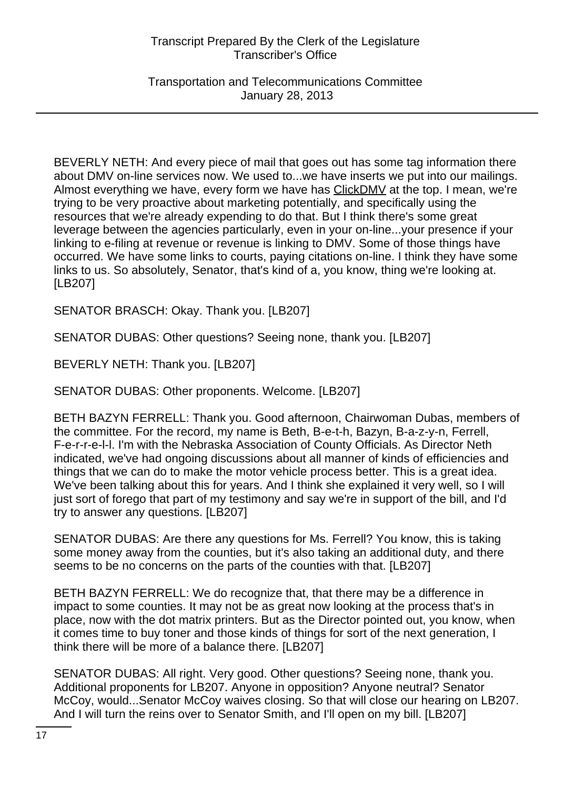Transportation and Telecommunications Committee January 28, 2013

BEVERLY NETH: And every piece of mail that goes out has some tag information there about DMV on-line services now. We used to...we have inserts we put into our mailings. Almost everything we have, every form we have has ClickDMV at the top. I mean, we're trying to be very proactive about marketing potentially, and specifically using the resources that we're already expending to do that. But I think there's some great leverage between the agencies particularly, even in your on-line...your presence if your linking to e-filing at revenue or revenue is linking to DMV. Some of those things have occurred. We have some links to courts, paying citations on-line. I think they have some links to us. So absolutely, Senator, that's kind of a, you know, thing we're looking at. [LB207]

SENATOR BRASCH: Okay. Thank you. [LB207]

SENATOR DUBAS: Other questions? Seeing none, thank you. [LB207]

BEVERLY NETH: Thank you. [LB207]

SENATOR DUBAS: Other proponents. Welcome. [LB207]

BETH BAZYN FERRELL: Thank you. Good afternoon, Chairwoman Dubas, members of the committee. For the record, my name is Beth, B-e-t-h, Bazyn, B-a-z-y-n, Ferrell, F-e-r-r-e-l-l. I'm with the Nebraska Association of County Officials. As Director Neth indicated, we've had ongoing discussions about all manner of kinds of efficiencies and things that we can do to make the motor vehicle process better. This is a great idea. We've been talking about this for years. And I think she explained it very well, so I will just sort of forego that part of my testimony and say we're in support of the bill, and I'd try to answer any questions. [LB207]

SENATOR DUBAS: Are there any questions for Ms. Ferrell? You know, this is taking some money away from the counties, but it's also taking an additional duty, and there seems to be no concerns on the parts of the counties with that. [LB207]

BETH BAZYN FERRELL: We do recognize that, that there may be a difference in impact to some counties. It may not be as great now looking at the process that's in place, now with the dot matrix printers. But as the Director pointed out, you know, when it comes time to buy toner and those kinds of things for sort of the next generation, I think there will be more of a balance there. [LB207]

SENATOR DUBAS: All right. Very good. Other questions? Seeing none, thank you. Additional proponents for LB207. Anyone in opposition? Anyone neutral? Senator McCoy, would...Senator McCoy waives closing. So that will close our hearing on LB207. And I will turn the reins over to Senator Smith, and I'll open on my bill. [LB207]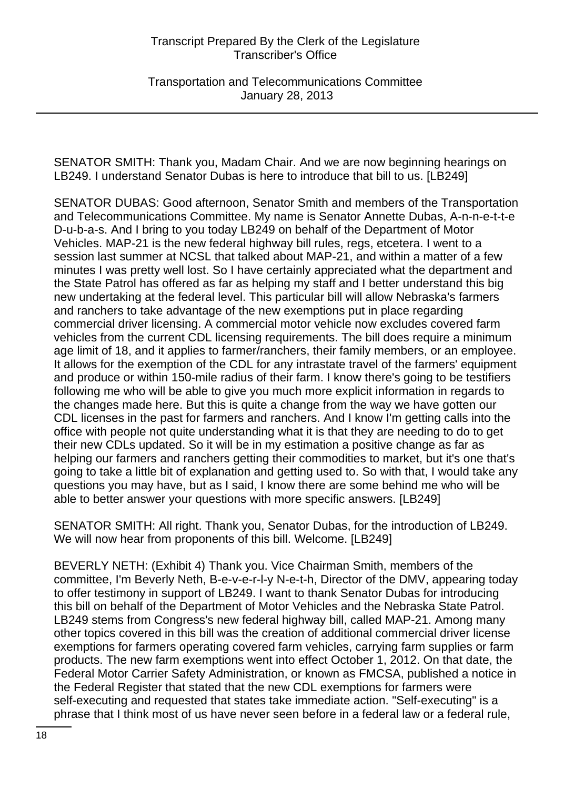Transportation and Telecommunications Committee January 28, 2013

SENATOR SMITH: Thank you, Madam Chair. And we are now beginning hearings on LB249. I understand Senator Dubas is here to introduce that bill to us. [LB249]

SENATOR DUBAS: Good afternoon, Senator Smith and members of the Transportation and Telecommunications Committee. My name is Senator Annette Dubas, A-n-n-e-t-t-e D-u-b-a-s. And I bring to you today LB249 on behalf of the Department of Motor Vehicles. MAP-21 is the new federal highway bill rules, regs, etcetera. I went to a session last summer at NCSL that talked about MAP-21, and within a matter of a few minutes I was pretty well lost. So I have certainly appreciated what the department and the State Patrol has offered as far as helping my staff and I better understand this big new undertaking at the federal level. This particular bill will allow Nebraska's farmers and ranchers to take advantage of the new exemptions put in place regarding commercial driver licensing. A commercial motor vehicle now excludes covered farm vehicles from the current CDL licensing requirements. The bill does require a minimum age limit of 18, and it applies to farmer/ranchers, their family members, or an employee. It allows for the exemption of the CDL for any intrastate travel of the farmers' equipment and produce or within 150-mile radius of their farm. I know there's going to be testifiers following me who will be able to give you much more explicit information in regards to the changes made here. But this is quite a change from the way we have gotten our CDL licenses in the past for farmers and ranchers. And I know I'm getting calls into the office with people not quite understanding what it is that they are needing to do to get their new CDLs updated. So it will be in my estimation a positive change as far as helping our farmers and ranchers getting their commodities to market, but it's one that's going to take a little bit of explanation and getting used to. So with that, I would take any questions you may have, but as I said, I know there are some behind me who will be able to better answer your questions with more specific answers. [LB249]

SENATOR SMITH: All right. Thank you, Senator Dubas, for the introduction of LB249. We will now hear from proponents of this bill. Welcome. [LB249]

BEVERLY NETH: (Exhibit 4) Thank you. Vice Chairman Smith, members of the committee, I'm Beverly Neth, B-e-v-e-r-l-y N-e-t-h, Director of the DMV, appearing today to offer testimony in support of LB249. I want to thank Senator Dubas for introducing this bill on behalf of the Department of Motor Vehicles and the Nebraska State Patrol. LB249 stems from Congress's new federal highway bill, called MAP-21. Among many other topics covered in this bill was the creation of additional commercial driver license exemptions for farmers operating covered farm vehicles, carrying farm supplies or farm products. The new farm exemptions went into effect October 1, 2012. On that date, the Federal Motor Carrier Safety Administration, or known as FMCSA, published a notice in the Federal Register that stated that the new CDL exemptions for farmers were self-executing and requested that states take immediate action. "Self-executing" is a phrase that I think most of us have never seen before in a federal law or a federal rule,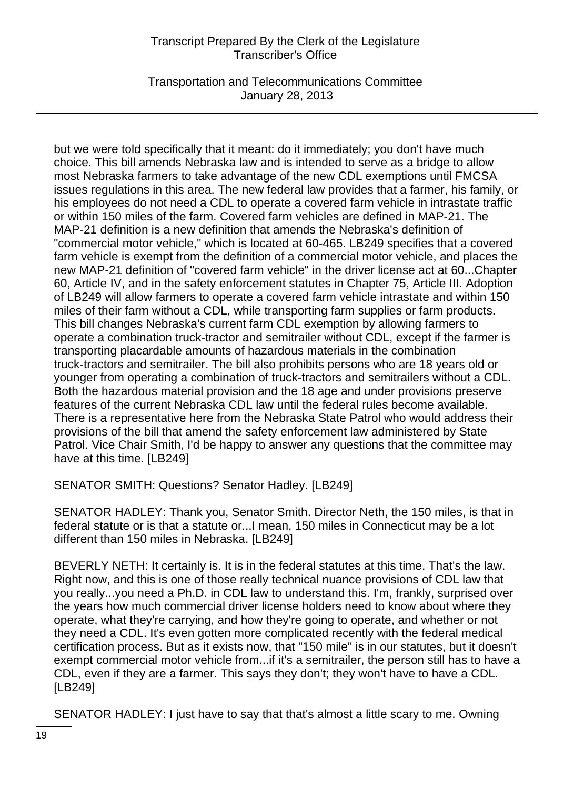Transportation and Telecommunications Committee January 28, 2013

but we were told specifically that it meant: do it immediately; you don't have much choice. This bill amends Nebraska law and is intended to serve as a bridge to allow most Nebraska farmers to take advantage of the new CDL exemptions until FMCSA issues regulations in this area. The new federal law provides that a farmer, his family, or his employees do not need a CDL to operate a covered farm vehicle in intrastate traffic or within 150 miles of the farm. Covered farm vehicles are defined in MAP-21. The MAP-21 definition is a new definition that amends the Nebraska's definition of "commercial motor vehicle," which is located at 60-465. LB249 specifies that a covered farm vehicle is exempt from the definition of a commercial motor vehicle, and places the new MAP-21 definition of "covered farm vehicle" in the driver license act at 60...Chapter 60, Article IV, and in the safety enforcement statutes in Chapter 75, Article III. Adoption of LB249 will allow farmers to operate a covered farm vehicle intrastate and within 150 miles of their farm without a CDL, while transporting farm supplies or farm products. This bill changes Nebraska's current farm CDL exemption by allowing farmers to operate a combination truck-tractor and semitrailer without CDL, except if the farmer is transporting placardable amounts of hazardous materials in the combination truck-tractors and semitrailer. The bill also prohibits persons who are 18 years old or younger from operating a combination of truck-tractors and semitrailers without a CDL. Both the hazardous material provision and the 18 age and under provisions preserve features of the current Nebraska CDL law until the federal rules become available. There is a representative here from the Nebraska State Patrol who would address their provisions of the bill that amend the safety enforcement law administered by State Patrol. Vice Chair Smith, I'd be happy to answer any questions that the committee may have at this time. [LB249]

SENATOR SMITH: Questions? Senator Hadley. [LB249]

SENATOR HADLEY: Thank you, Senator Smith. Director Neth, the 150 miles, is that in federal statute or is that a statute or...I mean, 150 miles in Connecticut may be a lot different than 150 miles in Nebraska. [LB249]

BEVERLY NETH: It certainly is. It is in the federal statutes at this time. That's the law. Right now, and this is one of those really technical nuance provisions of CDL law that you really...you need a Ph.D. in CDL law to understand this. I'm, frankly, surprised over the years how much commercial driver license holders need to know about where they operate, what they're carrying, and how they're going to operate, and whether or not they need a CDL. It's even gotten more complicated recently with the federal medical certification process. But as it exists now, that "150 mile" is in our statutes, but it doesn't exempt commercial motor vehicle from...if it's a semitrailer, the person still has to have a CDL, even if they are a farmer. This says they don't; they won't have to have a CDL. [LB249]

SENATOR HADLEY: I just have to say that that's almost a little scary to me. Owning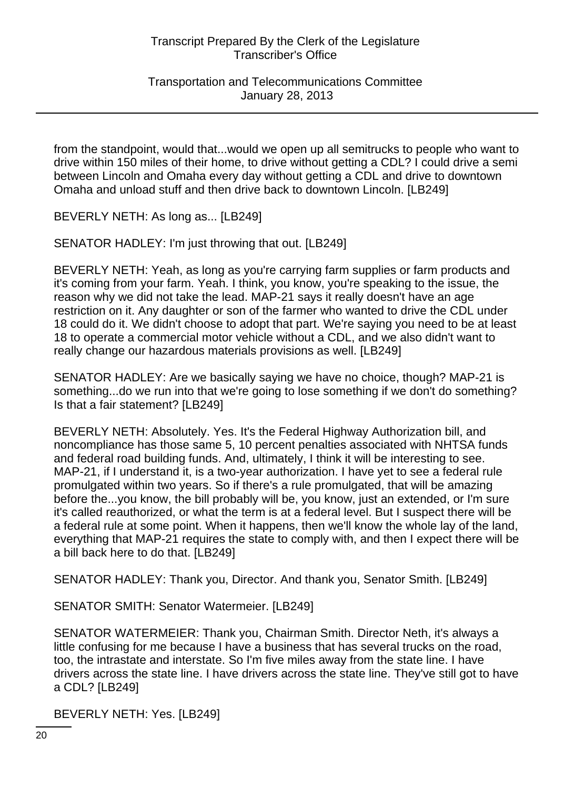Transportation and Telecommunications Committee January 28, 2013

from the standpoint, would that...would we open up all semitrucks to people who want to drive within 150 miles of their home, to drive without getting a CDL? I could drive a semi between Lincoln and Omaha every day without getting a CDL and drive to downtown Omaha and unload stuff and then drive back to downtown Lincoln. [LB249]

BEVERLY NETH: As long as... [LB249]

SENATOR HADLEY: I'm just throwing that out. [LB249]

BEVERLY NETH: Yeah, as long as you're carrying farm supplies or farm products and it's coming from your farm. Yeah. I think, you know, you're speaking to the issue, the reason why we did not take the lead. MAP-21 says it really doesn't have an age restriction on it. Any daughter or son of the farmer who wanted to drive the CDL under 18 could do it. We didn't choose to adopt that part. We're saying you need to be at least 18 to operate a commercial motor vehicle without a CDL, and we also didn't want to really change our hazardous materials provisions as well. [LB249]

SENATOR HADLEY: Are we basically saying we have no choice, though? MAP-21 is something...do we run into that we're going to lose something if we don't do something? Is that a fair statement? [LB249]

BEVERLY NETH: Absolutely. Yes. It's the Federal Highway Authorization bill, and noncompliance has those same 5, 10 percent penalties associated with NHTSA funds and federal road building funds. And, ultimately, I think it will be interesting to see. MAP-21, if I understand it, is a two-year authorization. I have yet to see a federal rule promulgated within two years. So if there's a rule promulgated, that will be amazing before the...you know, the bill probably will be, you know, just an extended, or I'm sure it's called reauthorized, or what the term is at a federal level. But I suspect there will be a federal rule at some point. When it happens, then we'll know the whole lay of the land, everything that MAP-21 requires the state to comply with, and then I expect there will be a bill back here to do that. [LB249]

SENATOR HADLEY: Thank you, Director. And thank you, Senator Smith. [LB249]

SENATOR SMITH: Senator Watermeier. [LB249]

SENATOR WATERMEIER: Thank you, Chairman Smith. Director Neth, it's always a little confusing for me because I have a business that has several trucks on the road, too, the intrastate and interstate. So I'm five miles away from the state line. I have drivers across the state line. I have drivers across the state line. They've still got to have a CDL? [LB249]

BEVERLY NETH: Yes. [LB249]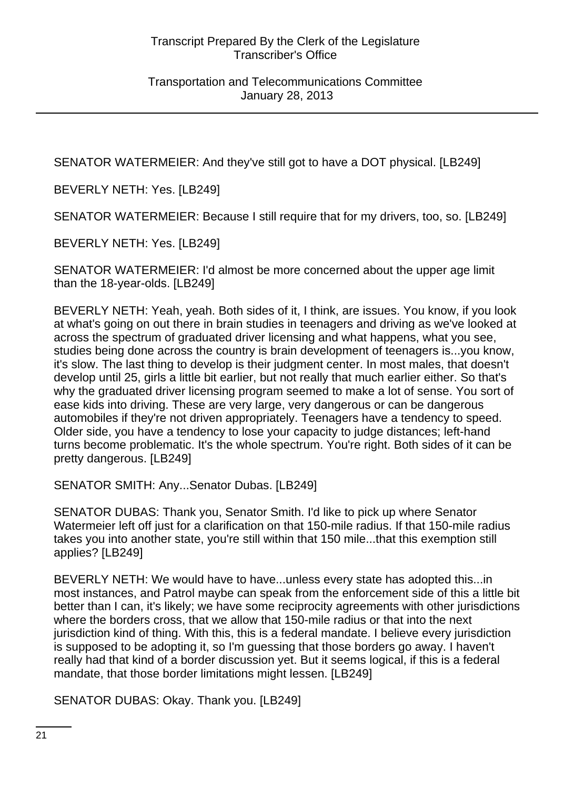SENATOR WATERMEIER: And they've still got to have a DOT physical. [LB249]

BEVERLY NETH: Yes. [LB249]

SENATOR WATERMEIER: Because I still require that for my drivers, too, so. [LB249]

BEVERLY NETH: Yes. [LB249]

SENATOR WATERMEIER: I'd almost be more concerned about the upper age limit than the 18-year-olds. [LB249]

BEVERLY NETH: Yeah, yeah. Both sides of it, I think, are issues. You know, if you look at what's going on out there in brain studies in teenagers and driving as we've looked at across the spectrum of graduated driver licensing and what happens, what you see, studies being done across the country is brain development of teenagers is...you know, it's slow. The last thing to develop is their judgment center. In most males, that doesn't develop until 25, girls a little bit earlier, but not really that much earlier either. So that's why the graduated driver licensing program seemed to make a lot of sense. You sort of ease kids into driving. These are very large, very dangerous or can be dangerous automobiles if they're not driven appropriately. Teenagers have a tendency to speed. Older side, you have a tendency to lose your capacity to judge distances; left-hand turns become problematic. It's the whole spectrum. You're right. Both sides of it can be pretty dangerous. [LB249]

SENATOR SMITH: Any...Senator Dubas. [LB249]

SENATOR DUBAS: Thank you, Senator Smith. I'd like to pick up where Senator Watermeier left off just for a clarification on that 150-mile radius. If that 150-mile radius takes you into another state, you're still within that 150 mile...that this exemption still applies? [LB249]

BEVERLY NETH: We would have to have...unless every state has adopted this...in most instances, and Patrol maybe can speak from the enforcement side of this a little bit better than I can, it's likely; we have some reciprocity agreements with other jurisdictions where the borders cross, that we allow that 150-mile radius or that into the next jurisdiction kind of thing. With this, this is a federal mandate. I believe every jurisdiction is supposed to be adopting it, so I'm guessing that those borders go away. I haven't really had that kind of a border discussion yet. But it seems logical, if this is a federal mandate, that those border limitations might lessen. [LB249]

SENATOR DUBAS: Okay. Thank you. [LB249]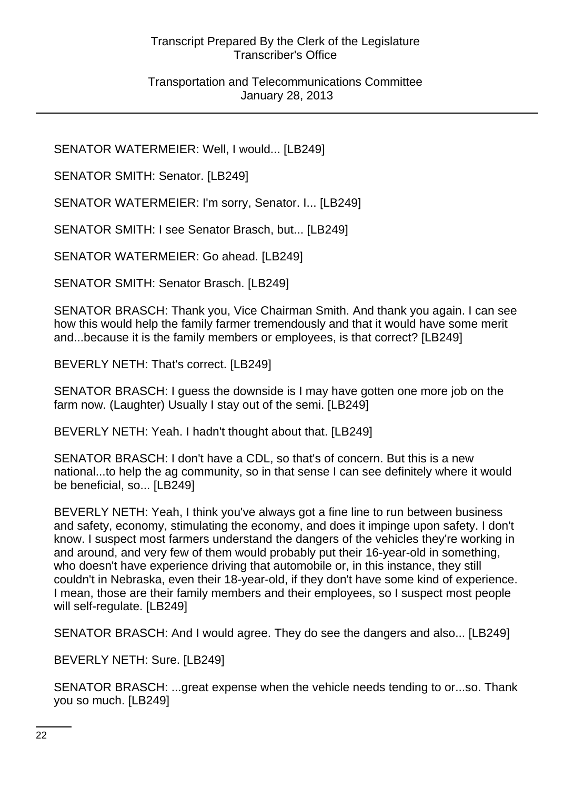#### Transportation and Telecommunications Committee January 28, 2013

SENATOR WATERMEIER: Well, I would... [LB249]

SENATOR SMITH: Senator, ILB2491

SENATOR WATERMEIER: I'm sorry, Senator. I... [LB249]

SENATOR SMITH: I see Senator Brasch, but... [LB249]

SENATOR WATERMEIER: Go ahead. [LB249]

SENATOR SMITH: Senator Brasch. [LB249]

SENATOR BRASCH: Thank you, Vice Chairman Smith. And thank you again. I can see how this would help the family farmer tremendously and that it would have some merit and...because it is the family members or employees, is that correct? [LB249]

BEVERLY NETH: That's correct. [LB249]

SENATOR BRASCH: I guess the downside is I may have gotten one more job on the farm now. (Laughter) Usually I stay out of the semi. [LB249]

BEVERLY NETH: Yeah. I hadn't thought about that. [LB249]

SENATOR BRASCH: I don't have a CDL, so that's of concern. But this is a new national...to help the ag community, so in that sense I can see definitely where it would be beneficial, so... [LB249]

BEVERLY NETH: Yeah, I think you've always got a fine line to run between business and safety, economy, stimulating the economy, and does it impinge upon safety. I don't know. I suspect most farmers understand the dangers of the vehicles they're working in and around, and very few of them would probably put their 16-year-old in something, who doesn't have experience driving that automobile or, in this instance, they still couldn't in Nebraska, even their 18-year-old, if they don't have some kind of experience. I mean, those are their family members and their employees, so I suspect most people will self-regulate. [LB249]

SENATOR BRASCH: And I would agree. They do see the dangers and also... [LB249]

BEVERLY NETH: Sure. [LB249]

SENATOR BRASCH: ...great expense when the vehicle needs tending to or...so. Thank you so much. [LB249]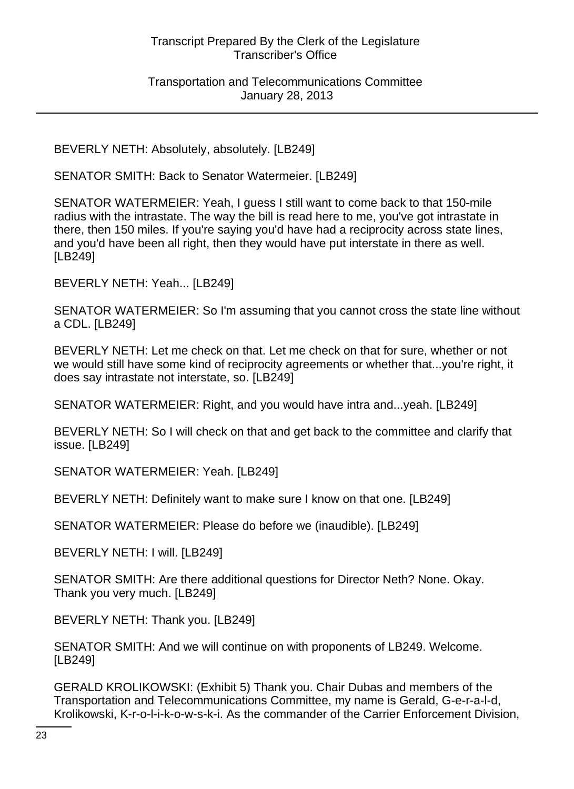#### Transportation and Telecommunications Committee January 28, 2013

BEVERLY NETH: Absolutely, absolutely. [LB249]

SENATOR SMITH: Back to Senator Watermeier. [LB249]

SENATOR WATERMEIER: Yeah, I guess I still want to come back to that 150-mile radius with the intrastate. The way the bill is read here to me, you've got intrastate in there, then 150 miles. If you're saying you'd have had a reciprocity across state lines, and you'd have been all right, then they would have put interstate in there as well. [LB249]

BEVERLY NETH: Yeah... [LB249]

SENATOR WATERMEIER: So I'm assuming that you cannot cross the state line without a CDL. [LB249]

BEVERLY NETH: Let me check on that. Let me check on that for sure, whether or not we would still have some kind of reciprocity agreements or whether that...you're right, it does say intrastate not interstate, so. [LB249]

SENATOR WATERMEIER: Right, and you would have intra and...yeah. [LB249]

BEVERLY NETH: So I will check on that and get back to the committee and clarify that issue. [LB249]

SENATOR WATERMEIER: Yeah. [LB249]

BEVERLY NETH: Definitely want to make sure I know on that one. [LB249]

SENATOR WATERMEIER: Please do before we (inaudible). [LB249]

BEVERLY NETH: I will. [LB249]

SENATOR SMITH: Are there additional questions for Director Neth? None. Okay. Thank you very much. [LB249]

BEVERLY NETH: Thank you. [LB249]

SENATOR SMITH: And we will continue on with proponents of LB249. Welcome. [LB249]

GERALD KROLIKOWSKI: (Exhibit 5) Thank you. Chair Dubas and members of the Transportation and Telecommunications Committee, my name is Gerald, G-e-r-a-l-d, Krolikowski, K-r-o-l-i-k-o-w-s-k-i. As the commander of the Carrier Enforcement Division,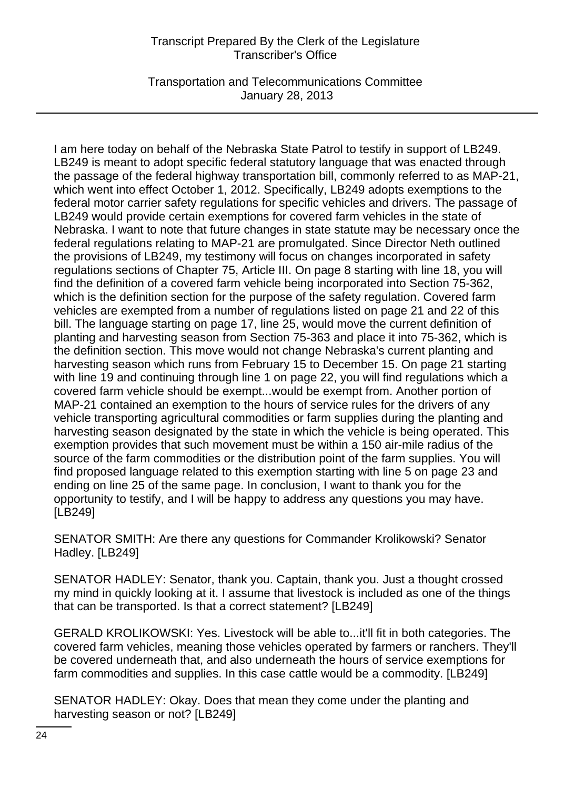Transportation and Telecommunications Committee January 28, 2013

I am here today on behalf of the Nebraska State Patrol to testify in support of LB249. LB249 is meant to adopt specific federal statutory language that was enacted through the passage of the federal highway transportation bill, commonly referred to as MAP-21, which went into effect October 1, 2012. Specifically, LB249 adopts exemptions to the federal motor carrier safety regulations for specific vehicles and drivers. The passage of LB249 would provide certain exemptions for covered farm vehicles in the state of Nebraska. I want to note that future changes in state statute may be necessary once the federal regulations relating to MAP-21 are promulgated. Since Director Neth outlined the provisions of LB249, my testimony will focus on changes incorporated in safety regulations sections of Chapter 75, Article III. On page 8 starting with line 18, you will find the definition of a covered farm vehicle being incorporated into Section 75-362, which is the definition section for the purpose of the safety regulation. Covered farm vehicles are exempted from a number of regulations listed on page 21 and 22 of this bill. The language starting on page 17, line 25, would move the current definition of planting and harvesting season from Section 75-363 and place it into 75-362, which is the definition section. This move would not change Nebraska's current planting and harvesting season which runs from February 15 to December 15. On page 21 starting with line 19 and continuing through line 1 on page 22, you will find regulations which a covered farm vehicle should be exempt...would be exempt from. Another portion of MAP-21 contained an exemption to the hours of service rules for the drivers of any vehicle transporting agricultural commodities or farm supplies during the planting and harvesting season designated by the state in which the vehicle is being operated. This exemption provides that such movement must be within a 150 air-mile radius of the source of the farm commodities or the distribution point of the farm supplies. You will find proposed language related to this exemption starting with line 5 on page 23 and ending on line 25 of the same page. In conclusion, I want to thank you for the opportunity to testify, and I will be happy to address any questions you may have. [LB249]

SENATOR SMITH: Are there any questions for Commander Krolikowski? Senator Hadley. [LB249]

SENATOR HADLEY: Senator, thank you. Captain, thank you. Just a thought crossed my mind in quickly looking at it. I assume that livestock is included as one of the things that can be transported. Is that a correct statement? [LB249]

GERALD KROLIKOWSKI: Yes. Livestock will be able to...it'll fit in both categories. The covered farm vehicles, meaning those vehicles operated by farmers or ranchers. They'll be covered underneath that, and also underneath the hours of service exemptions for farm commodities and supplies. In this case cattle would be a commodity. [LB249]

SENATOR HADLEY: Okay. Does that mean they come under the planting and harvesting season or not? [LB249]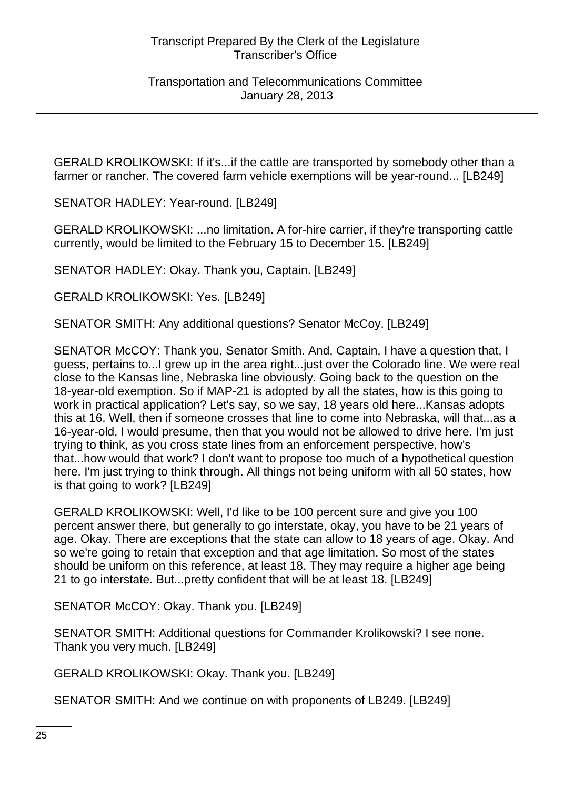GERALD KROLIKOWSKI: If it's...if the cattle are transported by somebody other than a farmer or rancher. The covered farm vehicle exemptions will be year-round... [LB249]

SENATOR HADLEY: Year-round. [LB249]

GERALD KROLIKOWSKI: ...no limitation. A for-hire carrier, if they're transporting cattle currently, would be limited to the February 15 to December 15. [LB249]

SENATOR HADLEY: Okay. Thank you, Captain. [LB249]

GERALD KROLIKOWSKI: Yes. [LB249]

SENATOR SMITH: Any additional questions? Senator McCoy. [LB249]

SENATOR McCOY: Thank you, Senator Smith. And, Captain, I have a question that, I guess, pertains to...I grew up in the area right...just over the Colorado line. We were real close to the Kansas line, Nebraska line obviously. Going back to the question on the 18-year-old exemption. So if MAP-21 is adopted by all the states, how is this going to work in practical application? Let's say, so we say, 18 years old here...Kansas adopts this at 16. Well, then if someone crosses that line to come into Nebraska, will that...as a 16-year-old, I would presume, then that you would not be allowed to drive here. I'm just trying to think, as you cross state lines from an enforcement perspective, how's that...how would that work? I don't want to propose too much of a hypothetical question here. I'm just trying to think through. All things not being uniform with all 50 states, how is that going to work? [LB249]

GERALD KROLIKOWSKI: Well, I'd like to be 100 percent sure and give you 100 percent answer there, but generally to go interstate, okay, you have to be 21 years of age. Okay. There are exceptions that the state can allow to 18 years of age. Okay. And so we're going to retain that exception and that age limitation. So most of the states should be uniform on this reference, at least 18. They may require a higher age being 21 to go interstate. But...pretty confident that will be at least 18. [LB249]

SENATOR McCOY: Okay. Thank you. [LB249]

SENATOR SMITH: Additional questions for Commander Krolikowski? I see none. Thank you very much. [LB249]

GERALD KROLIKOWSKI: Okay. Thank you. [LB249]

SENATOR SMITH: And we continue on with proponents of LB249. [LB249]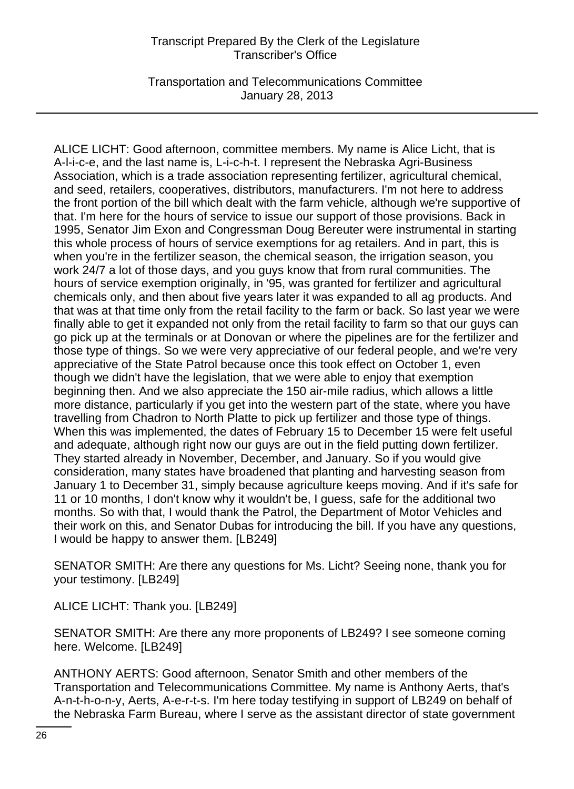Transportation and Telecommunications Committee January 28, 2013

ALICE LICHT: Good afternoon, committee members. My name is Alice Licht, that is A-l-i-c-e, and the last name is, L-i-c-h-t. I represent the Nebraska Agri-Business Association, which is a trade association representing fertilizer, agricultural chemical, and seed, retailers, cooperatives, distributors, manufacturers. I'm not here to address the front portion of the bill which dealt with the farm vehicle, although we're supportive of that. I'm here for the hours of service to issue our support of those provisions. Back in 1995, Senator Jim Exon and Congressman Doug Bereuter were instrumental in starting this whole process of hours of service exemptions for ag retailers. And in part, this is when you're in the fertilizer season, the chemical season, the irrigation season, you work 24/7 a lot of those days, and you guys know that from rural communities. The hours of service exemption originally, in '95, was granted for fertilizer and agricultural chemicals only, and then about five years later it was expanded to all ag products. And that was at that time only from the retail facility to the farm or back. So last year we were finally able to get it expanded not only from the retail facility to farm so that our guys can go pick up at the terminals or at Donovan or where the pipelines are for the fertilizer and those type of things. So we were very appreciative of our federal people, and we're very appreciative of the State Patrol because once this took effect on October 1, even though we didn't have the legislation, that we were able to enjoy that exemption beginning then. And we also appreciate the 150 air-mile radius, which allows a little more distance, particularly if you get into the western part of the state, where you have travelling from Chadron to North Platte to pick up fertilizer and those type of things. When this was implemented, the dates of February 15 to December 15 were felt useful and adequate, although right now our guys are out in the field putting down fertilizer. They started already in November, December, and January. So if you would give consideration, many states have broadened that planting and harvesting season from January 1 to December 31, simply because agriculture keeps moving. And if it's safe for 11 or 10 months, I don't know why it wouldn't be, I guess, safe for the additional two months. So with that, I would thank the Patrol, the Department of Motor Vehicles and their work on this, and Senator Dubas for introducing the bill. If you have any questions, I would be happy to answer them. [LB249]

SENATOR SMITH: Are there any questions for Ms. Licht? Seeing none, thank you for your testimony. [LB249]

ALICE LICHT: Thank you. [LB249]

SENATOR SMITH: Are there any more proponents of LB249? I see someone coming here. Welcome. [LB249]

ANTHONY AERTS: Good afternoon, Senator Smith and other members of the Transportation and Telecommunications Committee. My name is Anthony Aerts, that's A-n-t-h-o-n-y, Aerts, A-e-r-t-s. I'm here today testifying in support of LB249 on behalf of the Nebraska Farm Bureau, where I serve as the assistant director of state government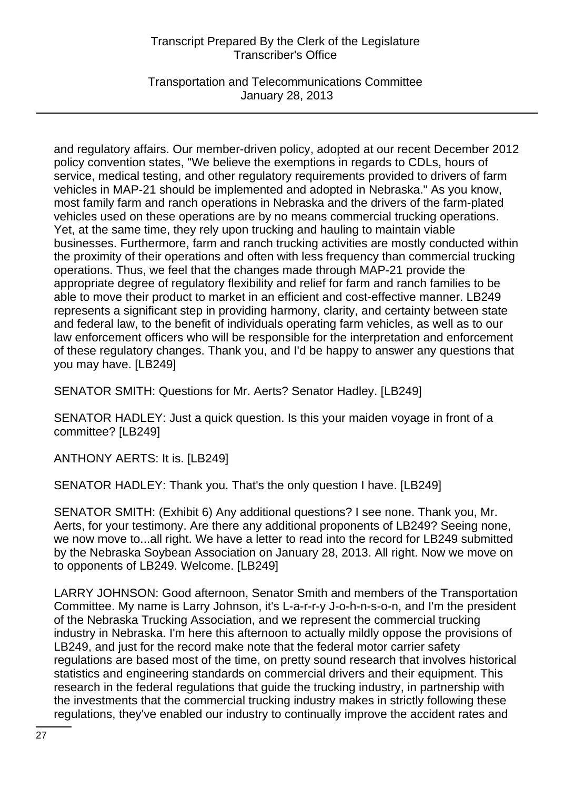Transportation and Telecommunications Committee January 28, 2013

and regulatory affairs. Our member-driven policy, adopted at our recent December 2012 policy convention states, "We believe the exemptions in regards to CDLs, hours of service, medical testing, and other regulatory requirements provided to drivers of farm vehicles in MAP-21 should be implemented and adopted in Nebraska." As you know, most family farm and ranch operations in Nebraska and the drivers of the farm-plated vehicles used on these operations are by no means commercial trucking operations. Yet, at the same time, they rely upon trucking and hauling to maintain viable businesses. Furthermore, farm and ranch trucking activities are mostly conducted within the proximity of their operations and often with less frequency than commercial trucking operations. Thus, we feel that the changes made through MAP-21 provide the appropriate degree of regulatory flexibility and relief for farm and ranch families to be able to move their product to market in an efficient and cost-effective manner. LB249 represents a significant step in providing harmony, clarity, and certainty between state and federal law, to the benefit of individuals operating farm vehicles, as well as to our law enforcement officers who will be responsible for the interpretation and enforcement of these regulatory changes. Thank you, and I'd be happy to answer any questions that you may have. [LB249]

SENATOR SMITH: Questions for Mr. Aerts? Senator Hadley. [LB249]

SENATOR HADLEY: Just a quick question. Is this your maiden voyage in front of a committee? [LB249]

ANTHONY AERTS: It is. [LB249]

SENATOR HADLEY: Thank you. That's the only question I have. [LB249]

SENATOR SMITH: (Exhibit 6) Any additional questions? I see none. Thank you, Mr. Aerts, for your testimony. Are there any additional proponents of LB249? Seeing none, we now move to...all right. We have a letter to read into the record for LB249 submitted by the Nebraska Soybean Association on January 28, 2013. All right. Now we move on to opponents of LB249. Welcome. [LB249]

LARRY JOHNSON: Good afternoon, Senator Smith and members of the Transportation Committee. My name is Larry Johnson, it's L-a-r-r-y J-o-h-n-s-o-n, and I'm the president of the Nebraska Trucking Association, and we represent the commercial trucking industry in Nebraska. I'm here this afternoon to actually mildly oppose the provisions of LB249, and just for the record make note that the federal motor carrier safety regulations are based most of the time, on pretty sound research that involves historical statistics and engineering standards on commercial drivers and their equipment. This research in the federal regulations that guide the trucking industry, in partnership with the investments that the commercial trucking industry makes in strictly following these regulations, they've enabled our industry to continually improve the accident rates and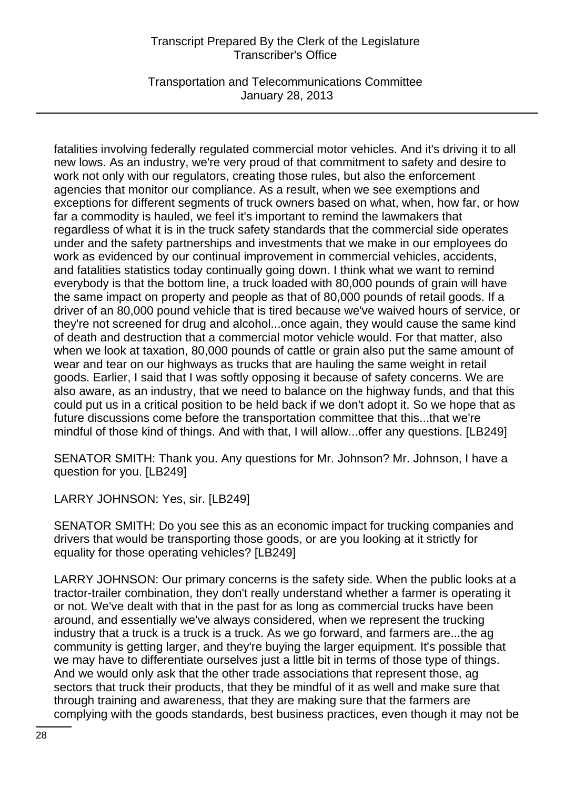Transportation and Telecommunications Committee January 28, 2013

fatalities involving federally regulated commercial motor vehicles. And it's driving it to all new lows. As an industry, we're very proud of that commitment to safety and desire to work not only with our regulators, creating those rules, but also the enforcement agencies that monitor our compliance. As a result, when we see exemptions and exceptions for different segments of truck owners based on what, when, how far, or how far a commodity is hauled, we feel it's important to remind the lawmakers that regardless of what it is in the truck safety standards that the commercial side operates under and the safety partnerships and investments that we make in our employees do work as evidenced by our continual improvement in commercial vehicles, accidents, and fatalities statistics today continually going down. I think what we want to remind everybody is that the bottom line, a truck loaded with 80,000 pounds of grain will have the same impact on property and people as that of 80,000 pounds of retail goods. If a driver of an 80,000 pound vehicle that is tired because we've waived hours of service, or they're not screened for drug and alcohol...once again, they would cause the same kind of death and destruction that a commercial motor vehicle would. For that matter, also when we look at taxation, 80,000 pounds of cattle or grain also put the same amount of wear and tear on our highways as trucks that are hauling the same weight in retail goods. Earlier, I said that I was softly opposing it because of safety concerns. We are also aware, as an industry, that we need to balance on the highway funds, and that this could put us in a critical position to be held back if we don't adopt it. So we hope that as future discussions come before the transportation committee that this...that we're mindful of those kind of things. And with that, I will allow...offer any questions. [LB249]

SENATOR SMITH: Thank you. Any questions for Mr. Johnson? Mr. Johnson, I have a question for you. [LB249]

LARRY JOHNSON: Yes, sir. [LB249]

SENATOR SMITH: Do you see this as an economic impact for trucking companies and drivers that would be transporting those goods, or are you looking at it strictly for equality for those operating vehicles? [LB249]

LARRY JOHNSON: Our primary concerns is the safety side. When the public looks at a tractor-trailer combination, they don't really understand whether a farmer is operating it or not. We've dealt with that in the past for as long as commercial trucks have been around, and essentially we've always considered, when we represent the trucking industry that a truck is a truck is a truck. As we go forward, and farmers are...the ag community is getting larger, and they're buying the larger equipment. It's possible that we may have to differentiate ourselves just a little bit in terms of those type of things. And we would only ask that the other trade associations that represent those, ag sectors that truck their products, that they be mindful of it as well and make sure that through training and awareness, that they are making sure that the farmers are complying with the goods standards, best business practices, even though it may not be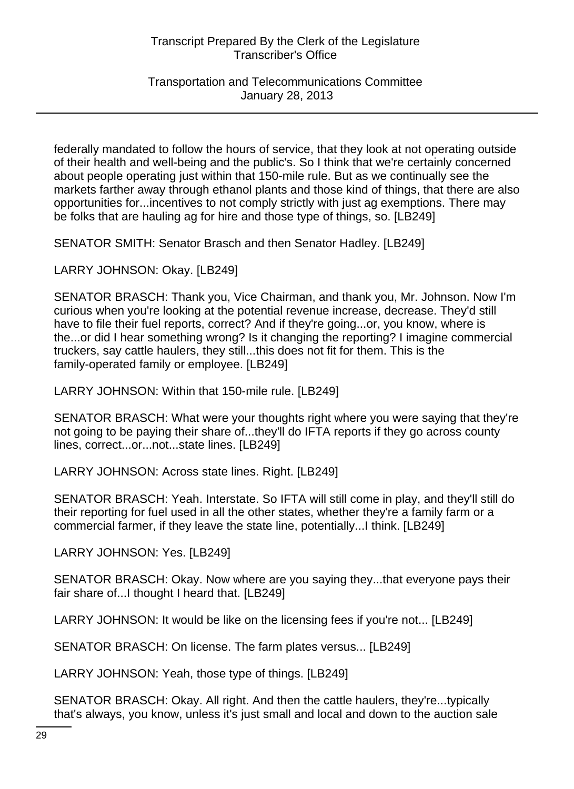Transportation and Telecommunications Committee January 28, 2013

federally mandated to follow the hours of service, that they look at not operating outside of their health and well-being and the public's. So I think that we're certainly concerned about people operating just within that 150-mile rule. But as we continually see the markets farther away through ethanol plants and those kind of things, that there are also opportunities for...incentives to not comply strictly with just ag exemptions. There may be folks that are hauling ag for hire and those type of things, so. [LB249]

SENATOR SMITH: Senator Brasch and then Senator Hadley. [LB249]

LARRY JOHNSON: Okay. [LB249]

SENATOR BRASCH: Thank you, Vice Chairman, and thank you, Mr. Johnson. Now I'm curious when you're looking at the potential revenue increase, decrease. They'd still have to file their fuel reports, correct? And if they're going...or, you know, where is the...or did I hear something wrong? Is it changing the reporting? I imagine commercial truckers, say cattle haulers, they still...this does not fit for them. This is the family-operated family or employee. [LB249]

LARRY JOHNSON: Within that 150-mile rule. [LB249]

SENATOR BRASCH: What were your thoughts right where you were saying that they're not going to be paying their share of...they'll do IFTA reports if they go across county lines, correct...or...not...state lines. [LB249]

LARRY JOHNSON: Across state lines. Right. [LB249]

SENATOR BRASCH: Yeah. Interstate. So IFTA will still come in play, and they'll still do their reporting for fuel used in all the other states, whether they're a family farm or a commercial farmer, if they leave the state line, potentially...I think. [LB249]

LARRY JOHNSON: Yes. [LB249]

SENATOR BRASCH: Okay. Now where are you saying they...that everyone pays their fair share of...I thought I heard that. [LB249]

LARRY JOHNSON: It would be like on the licensing fees if you're not... [LB249]

SENATOR BRASCH: On license. The farm plates versus... [LB249]

LARRY JOHNSON: Yeah, those type of things. [LB249]

SENATOR BRASCH: Okay. All right. And then the cattle haulers, they're...typically that's always, you know, unless it's just small and local and down to the auction sale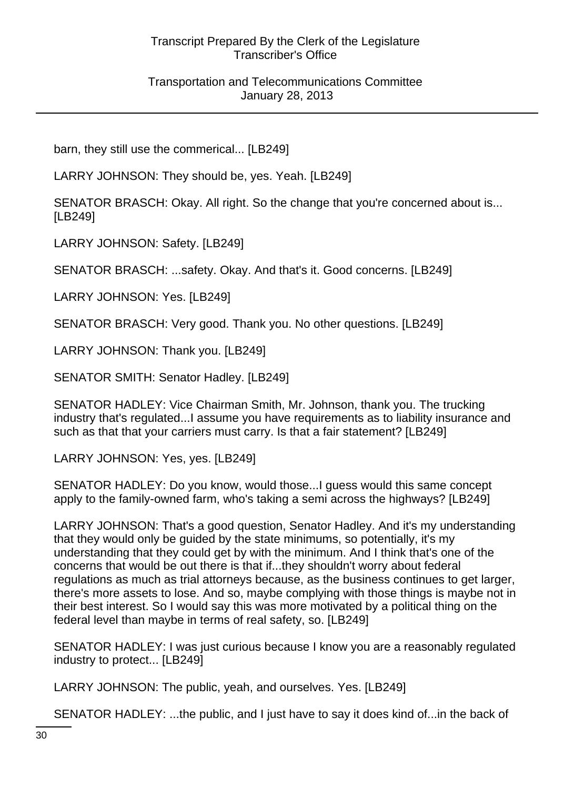Transportation and Telecommunications Committee January 28, 2013

barn, they still use the commerical... [LB249]

LARRY JOHNSON: They should be, yes. Yeah. [LB249]

SENATOR BRASCH: Okay. All right. So the change that you're concerned about is... [LB249]

LARRY JOHNSON: Safety. [LB249]

SENATOR BRASCH: ...safety. Okay. And that's it. Good concerns. [LB249]

LARRY JOHNSON: Yes. [LB249]

SENATOR BRASCH: Very good. Thank you. No other questions. [LB249]

LARRY JOHNSON: Thank you. [LB249]

SENATOR SMITH: Senator Hadley. [LB249]

SENATOR HADLEY: Vice Chairman Smith, Mr. Johnson, thank you. The trucking industry that's regulated...I assume you have requirements as to liability insurance and such as that that your carriers must carry. Is that a fair statement? [LB249]

LARRY JOHNSON: Yes, yes. [LB249]

SENATOR HADLEY: Do you know, would those...I guess would this same concept apply to the family-owned farm, who's taking a semi across the highways? [LB249]

LARRY JOHNSON: That's a good question, Senator Hadley. And it's my understanding that they would only be guided by the state minimums, so potentially, it's my understanding that they could get by with the minimum. And I think that's one of the concerns that would be out there is that if...they shouldn't worry about federal regulations as much as trial attorneys because, as the business continues to get larger, there's more assets to lose. And so, maybe complying with those things is maybe not in their best interest. So I would say this was more motivated by a political thing on the federal level than maybe in terms of real safety, so. [LB249]

SENATOR HADLEY: I was just curious because I know you are a reasonably regulated industry to protect... [LB249]

LARRY JOHNSON: The public, yeah, and ourselves. Yes. [LB249]

SENATOR HADLEY: ...the public, and I just have to say it does kind of...in the back of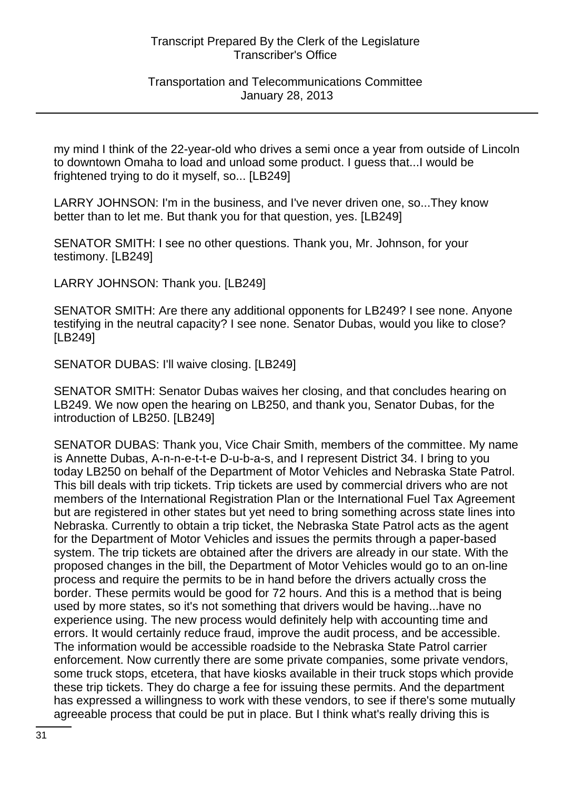#### Transportation and Telecommunications Committee January 28, 2013

my mind I think of the 22-year-old who drives a semi once a year from outside of Lincoln to downtown Omaha to load and unload some product. I guess that...I would be frightened trying to do it myself, so... [LB249]

LARRY JOHNSON: I'm in the business, and I've never driven one, so...They know better than to let me. But thank you for that question, yes. [LB249]

SENATOR SMITH: I see no other questions. Thank you, Mr. Johnson, for your testimony. [LB249]

LARRY JOHNSON: Thank you. [LB249]

SENATOR SMITH: Are there any additional opponents for LB249? I see none. Anyone testifying in the neutral capacity? I see none. Senator Dubas, would you like to close? [LB249]

SENATOR DUBAS: I'll waive closing. [LB249]

SENATOR SMITH: Senator Dubas waives her closing, and that concludes hearing on LB249. We now open the hearing on LB250, and thank you, Senator Dubas, for the introduction of LB250. [LB249]

SENATOR DUBAS: Thank you, Vice Chair Smith, members of the committee. My name is Annette Dubas, A-n-n-e-t-t-e D-u-b-a-s, and I represent District 34. I bring to you today LB250 on behalf of the Department of Motor Vehicles and Nebraska State Patrol. This bill deals with trip tickets. Trip tickets are used by commercial drivers who are not members of the International Registration Plan or the International Fuel Tax Agreement but are registered in other states but yet need to bring something across state lines into Nebraska. Currently to obtain a trip ticket, the Nebraska State Patrol acts as the agent for the Department of Motor Vehicles and issues the permits through a paper-based system. The trip tickets are obtained after the drivers are already in our state. With the proposed changes in the bill, the Department of Motor Vehicles would go to an on-line process and require the permits to be in hand before the drivers actually cross the border. These permits would be good for 72 hours. And this is a method that is being used by more states, so it's not something that drivers would be having...have no experience using. The new process would definitely help with accounting time and errors. It would certainly reduce fraud, improve the audit process, and be accessible. The information would be accessible roadside to the Nebraska State Patrol carrier enforcement. Now currently there are some private companies, some private vendors, some truck stops, etcetera, that have kiosks available in their truck stops which provide these trip tickets. They do charge a fee for issuing these permits. And the department has expressed a willingness to work with these vendors, to see if there's some mutually agreeable process that could be put in place. But I think what's really driving this is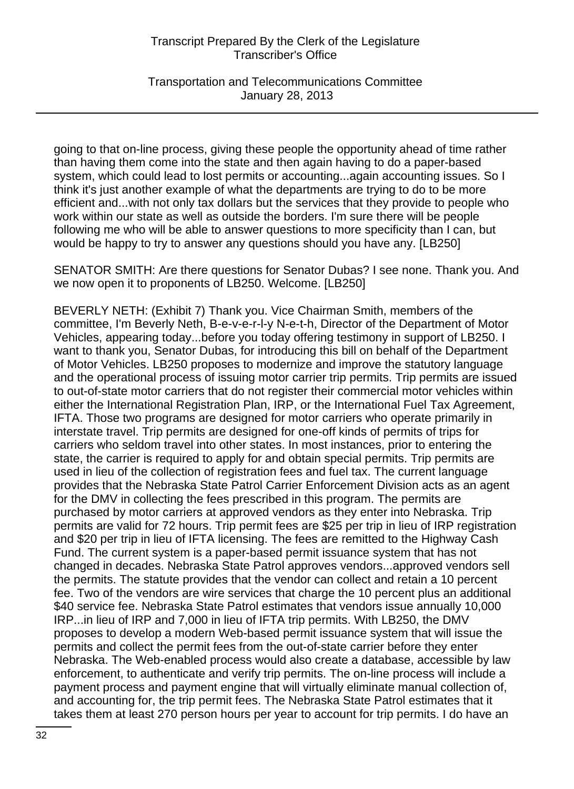Transportation and Telecommunications Committee January 28, 2013

going to that on-line process, giving these people the opportunity ahead of time rather than having them come into the state and then again having to do a paper-based system, which could lead to lost permits or accounting...again accounting issues. So I think it's just another example of what the departments are trying to do to be more efficient and...with not only tax dollars but the services that they provide to people who work within our state as well as outside the borders. I'm sure there will be people following me who will be able to answer questions to more specificity than I can, but would be happy to try to answer any questions should you have any. [LB250]

SENATOR SMITH: Are there questions for Senator Dubas? I see none. Thank you. And we now open it to proponents of LB250. Welcome. [LB250]

BEVERLY NETH: (Exhibit 7) Thank you. Vice Chairman Smith, members of the committee, I'm Beverly Neth, B-e-v-e-r-l-y N-e-t-h, Director of the Department of Motor Vehicles, appearing today...before you today offering testimony in support of LB250. I want to thank you, Senator Dubas, for introducing this bill on behalf of the Department of Motor Vehicles. LB250 proposes to modernize and improve the statutory language and the operational process of issuing motor carrier trip permits. Trip permits are issued to out-of-state motor carriers that do not register their commercial motor vehicles within either the International Registration Plan, IRP, or the International Fuel Tax Agreement, IFTA. Those two programs are designed for motor carriers who operate primarily in interstate travel. Trip permits are designed for one-off kinds of permits of trips for carriers who seldom travel into other states. In most instances, prior to entering the state, the carrier is required to apply for and obtain special permits. Trip permits are used in lieu of the collection of registration fees and fuel tax. The current language provides that the Nebraska State Patrol Carrier Enforcement Division acts as an agent for the DMV in collecting the fees prescribed in this program. The permits are purchased by motor carriers at approved vendors as they enter into Nebraska. Trip permits are valid for 72 hours. Trip permit fees are \$25 per trip in lieu of IRP registration and \$20 per trip in lieu of IFTA licensing. The fees are remitted to the Highway Cash Fund. The current system is a paper-based permit issuance system that has not changed in decades. Nebraska State Patrol approves vendors...approved vendors sell the permits. The statute provides that the vendor can collect and retain a 10 percent fee. Two of the vendors are wire services that charge the 10 percent plus an additional \$40 service fee. Nebraska State Patrol estimates that vendors issue annually 10,000 IRP...in lieu of IRP and 7,000 in lieu of IFTA trip permits. With LB250, the DMV proposes to develop a modern Web-based permit issuance system that will issue the permits and collect the permit fees from the out-of-state carrier before they enter Nebraska. The Web-enabled process would also create a database, accessible by law enforcement, to authenticate and verify trip permits. The on-line process will include a payment process and payment engine that will virtually eliminate manual collection of, and accounting for, the trip permit fees. The Nebraska State Patrol estimates that it takes them at least 270 person hours per year to account for trip permits. I do have an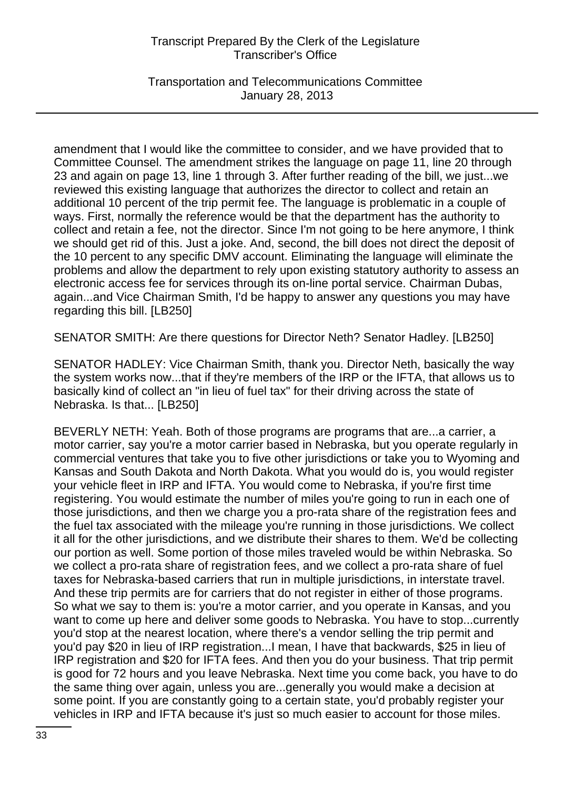Transportation and Telecommunications Committee January 28, 2013

amendment that I would like the committee to consider, and we have provided that to Committee Counsel. The amendment strikes the language on page 11, line 20 through 23 and again on page 13, line 1 through 3. After further reading of the bill, we just...we reviewed this existing language that authorizes the director to collect and retain an additional 10 percent of the trip permit fee. The language is problematic in a couple of ways. First, normally the reference would be that the department has the authority to collect and retain a fee, not the director. Since I'm not going to be here anymore, I think we should get rid of this. Just a joke. And, second, the bill does not direct the deposit of the 10 percent to any specific DMV account. Eliminating the language will eliminate the problems and allow the department to rely upon existing statutory authority to assess an electronic access fee for services through its on-line portal service. Chairman Dubas, again...and Vice Chairman Smith, I'd be happy to answer any questions you may have regarding this bill. [LB250]

SENATOR SMITH: Are there questions for Director Neth? Senator Hadley. [LB250]

SENATOR HADLEY: Vice Chairman Smith, thank you. Director Neth, basically the way the system works now...that if they're members of the IRP or the IFTA, that allows us to basically kind of collect an "in lieu of fuel tax" for their driving across the state of Nebraska. Is that... [LB250]

BEVERLY NETH: Yeah. Both of those programs are programs that are...a carrier, a motor carrier, say you're a motor carrier based in Nebraska, but you operate regularly in commercial ventures that take you to five other jurisdictions or take you to Wyoming and Kansas and South Dakota and North Dakota. What you would do is, you would register your vehicle fleet in IRP and IFTA. You would come to Nebraska, if you're first time registering. You would estimate the number of miles you're going to run in each one of those jurisdictions, and then we charge you a pro-rata share of the registration fees and the fuel tax associated with the mileage you're running in those jurisdictions. We collect it all for the other jurisdictions, and we distribute their shares to them. We'd be collecting our portion as well. Some portion of those miles traveled would be within Nebraska. So we collect a pro-rata share of registration fees, and we collect a pro-rata share of fuel taxes for Nebraska-based carriers that run in multiple jurisdictions, in interstate travel. And these trip permits are for carriers that do not register in either of those programs. So what we say to them is: you're a motor carrier, and you operate in Kansas, and you want to come up here and deliver some goods to Nebraska. You have to stop...currently you'd stop at the nearest location, where there's a vendor selling the trip permit and you'd pay \$20 in lieu of IRP registration...I mean, I have that backwards, \$25 in lieu of IRP registration and \$20 for IFTA fees. And then you do your business. That trip permit is good for 72 hours and you leave Nebraska. Next time you come back, you have to do the same thing over again, unless you are...generally you would make a decision at some point. If you are constantly going to a certain state, you'd probably register your vehicles in IRP and IFTA because it's just so much easier to account for those miles.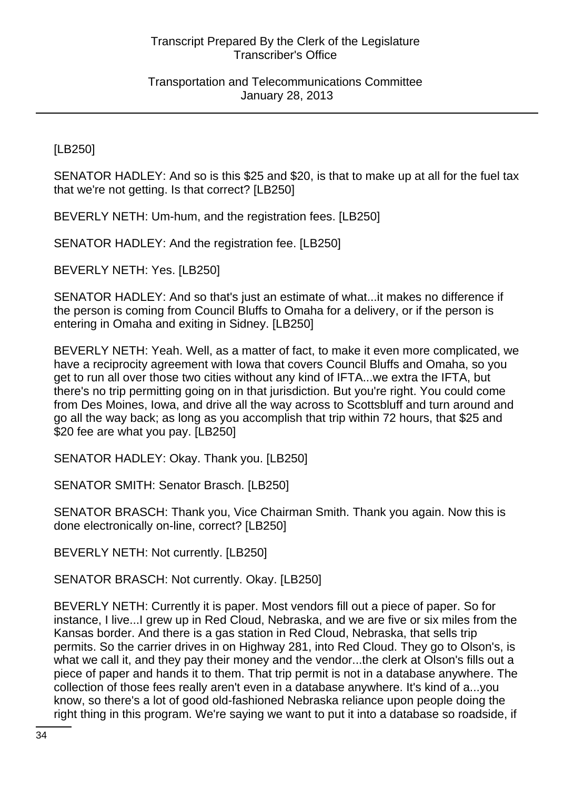[LB250]

SENATOR HADLEY: And so is this \$25 and \$20, is that to make up at all for the fuel tax that we're not getting. Is that correct? [LB250]

BEVERLY NETH: Um-hum, and the registration fees. [LB250]

SENATOR HADLEY: And the registration fee. [LB250]

BEVERLY NETH: Yes. [LB250]

SENATOR HADLEY: And so that's just an estimate of what...it makes no difference if the person is coming from Council Bluffs to Omaha for a delivery, or if the person is entering in Omaha and exiting in Sidney. [LB250]

BEVERLY NETH: Yeah. Well, as a matter of fact, to make it even more complicated, we have a reciprocity agreement with Iowa that covers Council Bluffs and Omaha, so you get to run all over those two cities without any kind of IFTA...we extra the IFTA, but there's no trip permitting going on in that jurisdiction. But you're right. You could come from Des Moines, Iowa, and drive all the way across to Scottsbluff and turn around and go all the way back; as long as you accomplish that trip within 72 hours, that \$25 and \$20 fee are what you pay. [LB250]

SENATOR HADLEY: Okay. Thank you. [LB250]

SENATOR SMITH: Senator Brasch. [LB250]

SENATOR BRASCH: Thank you, Vice Chairman Smith. Thank you again. Now this is done electronically on-line, correct? [LB250]

BEVERLY NETH: Not currently. [LB250]

SENATOR BRASCH: Not currently. Okay. [LB250]

BEVERLY NETH: Currently it is paper. Most vendors fill out a piece of paper. So for instance, I live...I grew up in Red Cloud, Nebraska, and we are five or six miles from the Kansas border. And there is a gas station in Red Cloud, Nebraska, that sells trip permits. So the carrier drives in on Highway 281, into Red Cloud. They go to Olson's, is what we call it, and they pay their money and the vendor...the clerk at Olson's fills out a piece of paper and hands it to them. That trip permit is not in a database anywhere. The collection of those fees really aren't even in a database anywhere. It's kind of a...you know, so there's a lot of good old-fashioned Nebraska reliance upon people doing the right thing in this program. We're saying we want to put it into a database so roadside, if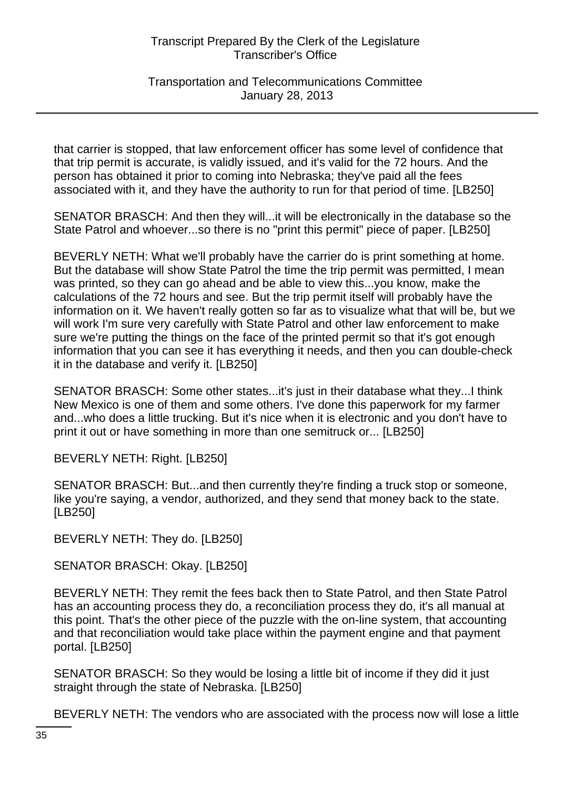Transportation and Telecommunications Committee January 28, 2013

that carrier is stopped, that law enforcement officer has some level of confidence that that trip permit is accurate, is validly issued, and it's valid for the 72 hours. And the person has obtained it prior to coming into Nebraska; they've paid all the fees associated with it, and they have the authority to run for that period of time. [LB250]

SENATOR BRASCH: And then they will...it will be electronically in the database so the State Patrol and whoever...so there is no "print this permit" piece of paper. [LB250]

BEVERLY NETH: What we'll probably have the carrier do is print something at home. But the database will show State Patrol the time the trip permit was permitted, I mean was printed, so they can go ahead and be able to view this...you know, make the calculations of the 72 hours and see. But the trip permit itself will probably have the information on it. We haven't really gotten so far as to visualize what that will be, but we will work I'm sure very carefully with State Patrol and other law enforcement to make sure we're putting the things on the face of the printed permit so that it's got enough information that you can see it has everything it needs, and then you can double-check it in the database and verify it. [LB250]

SENATOR BRASCH: Some other states...it's just in their database what they...I think New Mexico is one of them and some others. I've done this paperwork for my farmer and...who does a little trucking. But it's nice when it is electronic and you don't have to print it out or have something in more than one semitruck or... [LB250]

BEVERLY NETH: Right. [LB250]

SENATOR BRASCH: But...and then currently they're finding a truck stop or someone, like you're saying, a vendor, authorized, and they send that money back to the state. [LB250]

BEVERLY NETH: They do. [LB250]

SENATOR BRASCH: Okay. [LB250]

BEVERLY NETH: They remit the fees back then to State Patrol, and then State Patrol has an accounting process they do, a reconciliation process they do, it's all manual at this point. That's the other piece of the puzzle with the on-line system, that accounting and that reconciliation would take place within the payment engine and that payment portal. [LB250]

SENATOR BRASCH: So they would be losing a little bit of income if they did it just straight through the state of Nebraska. [LB250]

BEVERLY NETH: The vendors who are associated with the process now will lose a little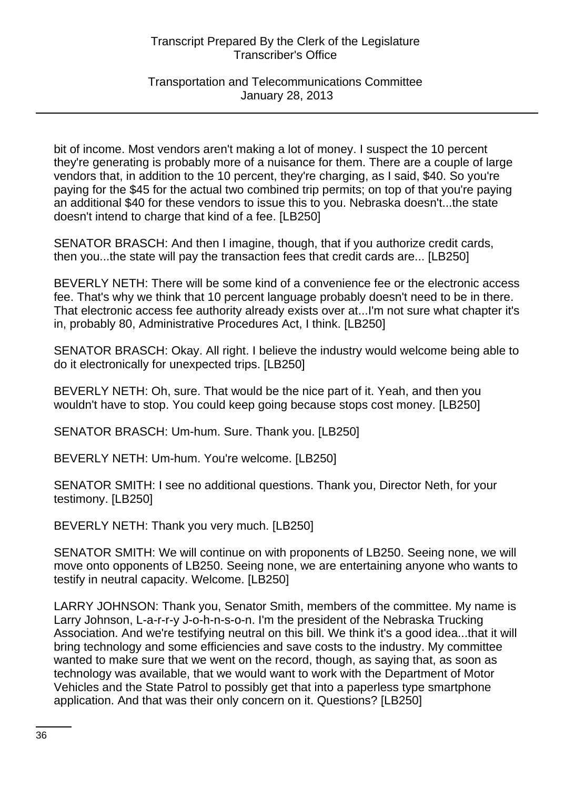# Transportation and Telecommunications Committee January 28, 2013

bit of income. Most vendors aren't making a lot of money. I suspect the 10 percent they're generating is probably more of a nuisance for them. There are a couple of large vendors that, in addition to the 10 percent, they're charging, as I said, \$40. So you're paying for the \$45 for the actual two combined trip permits; on top of that you're paying an additional \$40 for these vendors to issue this to you. Nebraska doesn't...the state doesn't intend to charge that kind of a fee. [LB250]

SENATOR BRASCH: And then I imagine, though, that if you authorize credit cards, then you...the state will pay the transaction fees that credit cards are... [LB250]

BEVERLY NETH: There will be some kind of a convenience fee or the electronic access fee. That's why we think that 10 percent language probably doesn't need to be in there. That electronic access fee authority already exists over at...I'm not sure what chapter it's in, probably 80, Administrative Procedures Act, I think. [LB250]

SENATOR BRASCH: Okay. All right. I believe the industry would welcome being able to do it electronically for unexpected trips. [LB250]

BEVERLY NETH: Oh, sure. That would be the nice part of it. Yeah, and then you wouldn't have to stop. You could keep going because stops cost money. [LB250]

SENATOR BRASCH: Um-hum. Sure. Thank you. [LB250]

BEVERLY NETH: Um-hum. You're welcome. [LB250]

SENATOR SMITH: I see no additional questions. Thank you, Director Neth, for your testimony. [LB250]

BEVERLY NETH: Thank you very much. [LB250]

SENATOR SMITH: We will continue on with proponents of LB250. Seeing none, we will move onto opponents of LB250. Seeing none, we are entertaining anyone who wants to testify in neutral capacity. Welcome. [LB250]

LARRY JOHNSON: Thank you, Senator Smith, members of the committee. My name is Larry Johnson, L-a-r-r-y J-o-h-n-s-o-n. I'm the president of the Nebraska Trucking Association. And we're testifying neutral on this bill. We think it's a good idea...that it will bring technology and some efficiencies and save costs to the industry. My committee wanted to make sure that we went on the record, though, as saying that, as soon as technology was available, that we would want to work with the Department of Motor Vehicles and the State Patrol to possibly get that into a paperless type smartphone application. And that was their only concern on it. Questions? [LB250]